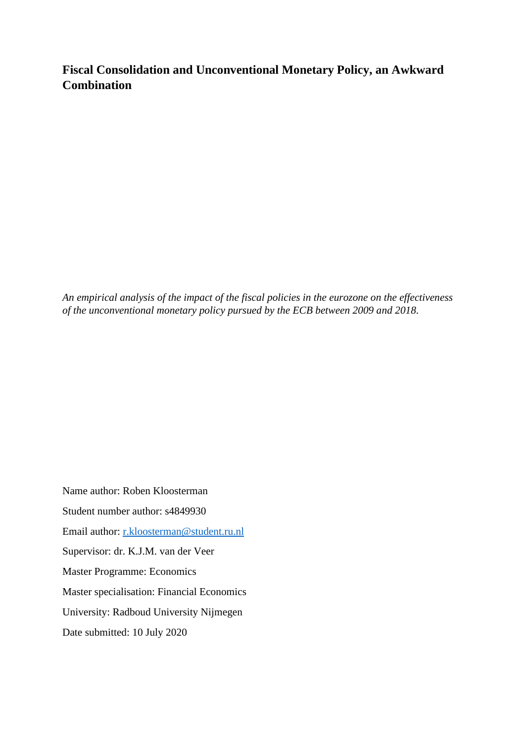# **Fiscal Consolidation and Unconventional Monetary Policy, an Awkward Combination**

*An empirical analysis of the impact of the fiscal policies in the eurozone on the effectiveness of the unconventional monetary policy pursued by the ECB between 2009 and 2018.*

Name author: Roben Kloosterman Student number author: s4849930 Email author: [r.kloosterman@student.ru.nl](mailto:r.kloosterman@student.ru.nl) Supervisor: dr. K.J.M. van der Veer Master Programme: Economics Master specialisation: Financial Economics University: Radboud University Nijmegen Date submitted: 10 July 2020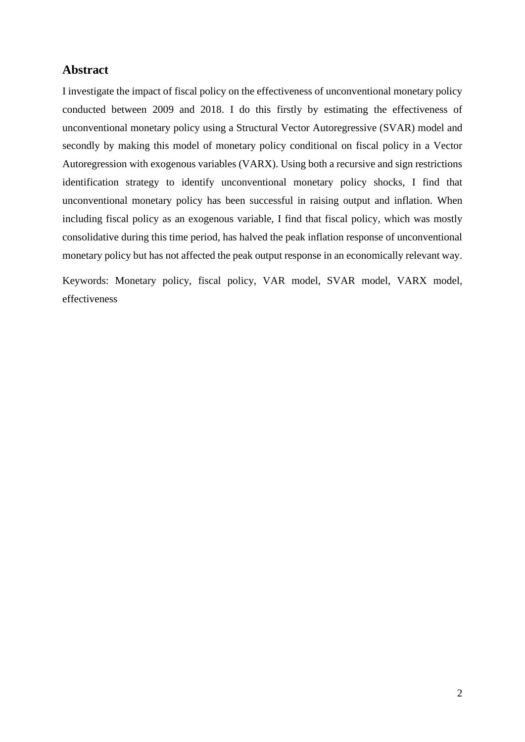# **Abstract**

I investigate the impact of fiscal policy on the effectiveness of unconventional monetary policy conducted between 2009 and 2018. I do this firstly by estimating the effectiveness of unconventional monetary policy using a Structural Vector Autoregressive (SVAR) model and secondly by making this model of monetary policy conditional on fiscal policy in a Vector Autoregression with exogenous variables (VARX). Using both a recursive and sign restrictions identification strategy to identify unconventional monetary policy shocks, I find that unconventional monetary policy has been successful in raising output and inflation. When including fiscal policy as an exogenous variable, I find that fiscal policy, which was mostly consolidative during this time period, has halved the peak inflation response of unconventional monetary policy but has not affected the peak output response in an economically relevant way.

Keywords: Monetary policy, fiscal policy, VAR model, SVAR model, VARX model, effectiveness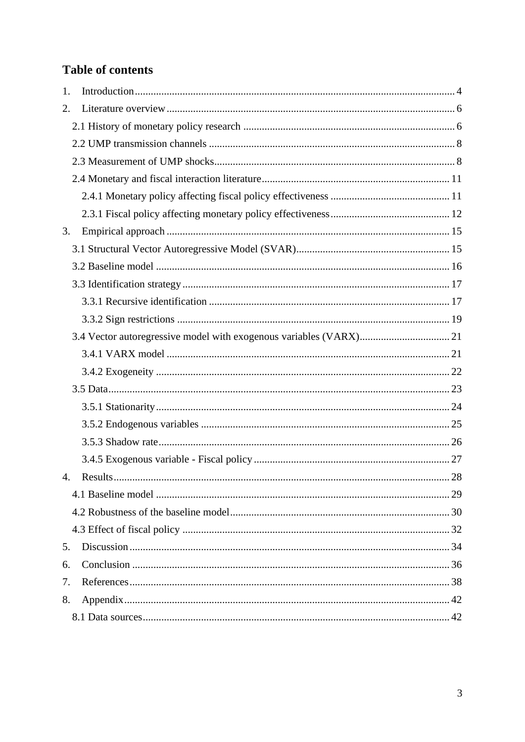# **Table of contents**

| 1.            |          |    |
|---------------|----------|----|
| 2.            |          |    |
|               |          |    |
|               |          |    |
|               |          |    |
|               |          |    |
|               |          |    |
|               |          |    |
| 3.            |          |    |
|               |          |    |
|               |          |    |
|               |          |    |
|               |          |    |
|               |          |    |
|               |          |    |
|               |          |    |
|               |          |    |
|               |          |    |
|               |          |    |
|               |          |    |
|               |          |    |
|               |          |    |
| $\mathcal{A}$ | Results. | 28 |
|               |          |    |
|               |          |    |
|               |          |    |
| 5.            |          |    |
| 6.            |          |    |
| 7.            |          |    |
| 8.            |          |    |
|               |          |    |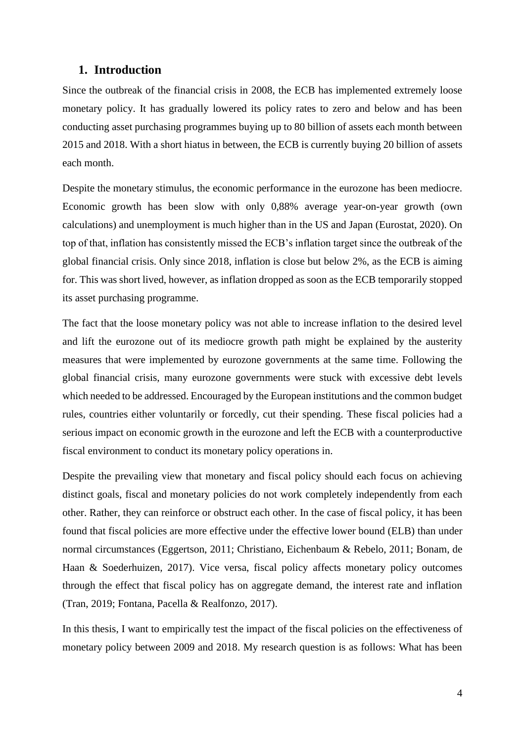# <span id="page-3-0"></span>**1. Introduction**

Since the outbreak of the financial crisis in 2008, the ECB has implemented extremely loose monetary policy. It has gradually lowered its policy rates to zero and below and has been conducting asset purchasing programmes buying up to 80 billion of assets each month between 2015 and 2018. With a short hiatus in between, the ECB is currently buying 20 billion of assets each month.

Despite the monetary stimulus, the economic performance in the eurozone has been mediocre. Economic growth has been slow with only 0,88% average year-on-year growth (own calculations) and unemployment is much higher than in the US and Japan (Eurostat, 2020). On top of that, inflation has consistently missed the ECB's inflation target since the outbreak of the global financial crisis. Only since 2018, inflation is close but below 2%, as the ECB is aiming for. This was short lived, however, as inflation dropped as soon as the ECB temporarily stopped its asset purchasing programme.

The fact that the loose monetary policy was not able to increase inflation to the desired level and lift the eurozone out of its mediocre growth path might be explained by the austerity measures that were implemented by eurozone governments at the same time. Following the global financial crisis, many eurozone governments were stuck with excessive debt levels which needed to be addressed. Encouraged by the European institutions and the common budget rules, countries either voluntarily or forcedly, cut their spending. These fiscal policies had a serious impact on economic growth in the eurozone and left the ECB with a counterproductive fiscal environment to conduct its monetary policy operations in.

Despite the prevailing view that monetary and fiscal policy should each focus on achieving distinct goals, fiscal and monetary policies do not work completely independently from each other. Rather, they can reinforce or obstruct each other. In the case of fiscal policy, it has been found that fiscal policies are more effective under the effective lower bound (ELB) than under normal circumstances (Eggertson, 2011; Christiano, Eichenbaum & Rebelo, 2011; Bonam, de Haan & Soederhuizen*,* 2017). Vice versa, fiscal policy affects monetary policy outcomes through the effect that fiscal policy has on aggregate demand, the interest rate and inflation (Tran, 2019; Fontana, Pacella & Realfonzo, 2017).

In this thesis, I want to empirically test the impact of the fiscal policies on the effectiveness of monetary policy between 2009 and 2018. My research question is as follows: What has been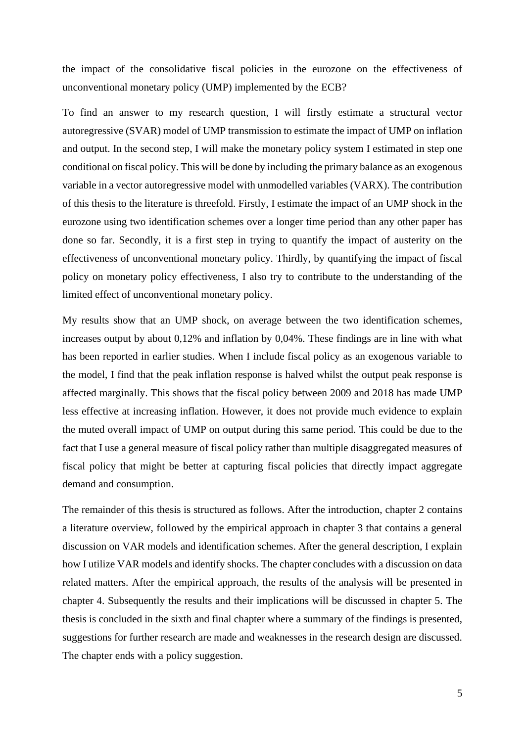the impact of the consolidative fiscal policies in the eurozone on the effectiveness of unconventional monetary policy (UMP) implemented by the ECB?

To find an answer to my research question, I will firstly estimate a structural vector autoregressive (SVAR) model of UMP transmission to estimate the impact of UMP on inflation and output. In the second step, I will make the monetary policy system I estimated in step one conditional on fiscal policy. This will be done by including the primary balance as an exogenous variable in a vector autoregressive model with unmodelled variables (VARX). The contribution of this thesis to the literature is threefold. Firstly, I estimate the impact of an UMP shock in the eurozone using two identification schemes over a longer time period than any other paper has done so far. Secondly, it is a first step in trying to quantify the impact of austerity on the effectiveness of unconventional monetary policy. Thirdly, by quantifying the impact of fiscal policy on monetary policy effectiveness, I also try to contribute to the understanding of the limited effect of unconventional monetary policy.

My results show that an UMP shock, on average between the two identification schemes, increases output by about 0,12% and inflation by 0,04%. These findings are in line with what has been reported in earlier studies. When I include fiscal policy as an exogenous variable to the model, I find that the peak inflation response is halved whilst the output peak response is affected marginally. This shows that the fiscal policy between 2009 and 2018 has made UMP less effective at increasing inflation. However, it does not provide much evidence to explain the muted overall impact of UMP on output during this same period. This could be due to the fact that I use a general measure of fiscal policy rather than multiple disaggregated measures of fiscal policy that might be better at capturing fiscal policies that directly impact aggregate demand and consumption.

The remainder of this thesis is structured as follows. After the introduction, chapter 2 contains a literature overview, followed by the empirical approach in chapter 3 that contains a general discussion on VAR models and identification schemes. After the general description, I explain how I utilize VAR models and identify shocks. The chapter concludes with a discussion on data related matters. After the empirical approach, the results of the analysis will be presented in chapter 4. Subsequently the results and their implications will be discussed in chapter 5. The thesis is concluded in the sixth and final chapter where a summary of the findings is presented, suggestions for further research are made and weaknesses in the research design are discussed. The chapter ends with a policy suggestion.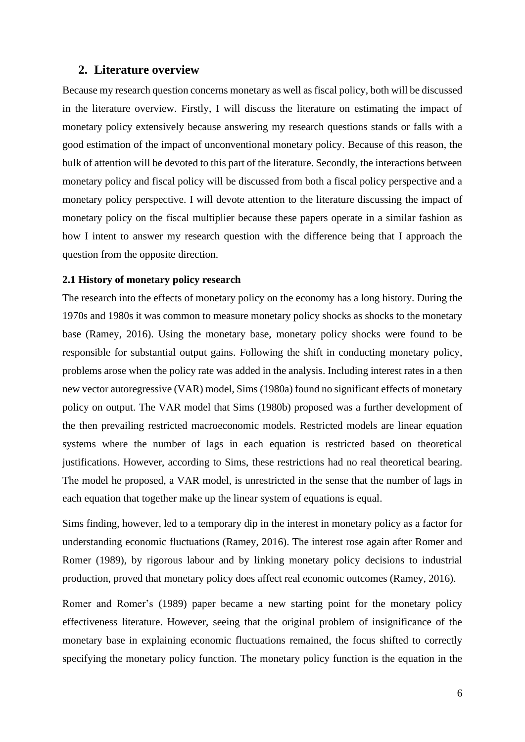# <span id="page-5-0"></span>**2. Literature overview**

Because my research question concerns monetary as well as fiscal policy, both will be discussed in the literature overview. Firstly, I will discuss the literature on estimating the impact of monetary policy extensively because answering my research questions stands or falls with a good estimation of the impact of unconventional monetary policy. Because of this reason, the bulk of attention will be devoted to this part of the literature. Secondly, the interactions between monetary policy and fiscal policy will be discussed from both a fiscal policy perspective and a monetary policy perspective. I will devote attention to the literature discussing the impact of monetary policy on the fiscal multiplier because these papers operate in a similar fashion as how I intent to answer my research question with the difference being that I approach the question from the opposite direction.

#### <span id="page-5-1"></span>**2.1 History of monetary policy research**

The research into the effects of monetary policy on the economy has a long history. During the 1970s and 1980s it was common to measure monetary policy shocks as shocks to the monetary base (Ramey, 2016). Using the monetary base, monetary policy shocks were found to be responsible for substantial output gains. Following the shift in conducting monetary policy, problems arose when the policy rate was added in the analysis. Including interest rates in a then new vector autoregressive (VAR) model, Sims (1980a) found no significant effects of monetary policy on output. The VAR model that Sims (1980b) proposed was a further development of the then prevailing restricted macroeconomic models. Restricted models are linear equation systems where the number of lags in each equation is restricted based on theoretical justifications. However, according to Sims, these restrictions had no real theoretical bearing. The model he proposed, a VAR model, is unrestricted in the sense that the number of lags in each equation that together make up the linear system of equations is equal.

Sims finding, however, led to a temporary dip in the interest in monetary policy as a factor for understanding economic fluctuations (Ramey, 2016). The interest rose again after Romer and Romer (1989), by rigorous labour and by linking monetary policy decisions to industrial production, proved that monetary policy does affect real economic outcomes (Ramey, 2016).

Romer and Romer's (1989) paper became a new starting point for the monetary policy effectiveness literature. However, seeing that the original problem of insignificance of the monetary base in explaining economic fluctuations remained, the focus shifted to correctly specifying the monetary policy function. The monetary policy function is the equation in the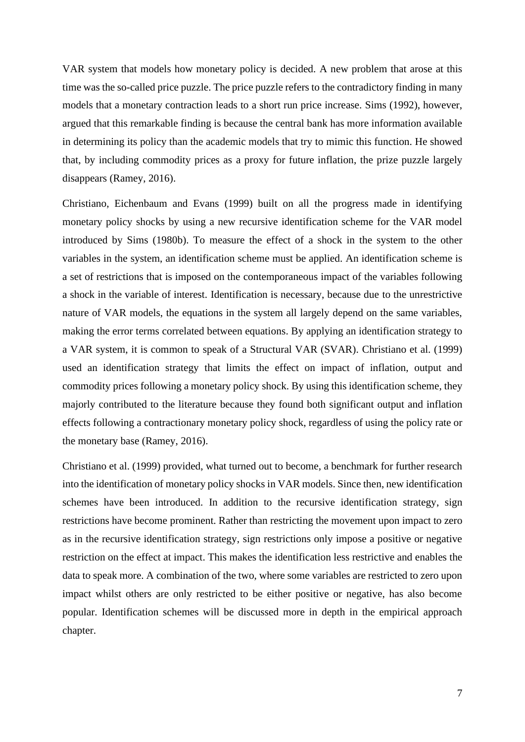VAR system that models how monetary policy is decided. A new problem that arose at this time was the so-called price puzzle. The price puzzle refers to the contradictory finding in many models that a monetary contraction leads to a short run price increase. Sims (1992), however, argued that this remarkable finding is because the central bank has more information available in determining its policy than the academic models that try to mimic this function. He showed that, by including commodity prices as a proxy for future inflation, the prize puzzle largely disappears (Ramey, 2016).

Christiano, Eichenbaum and Evans (1999) built on all the progress made in identifying monetary policy shocks by using a new recursive identification scheme for the VAR model introduced by Sims (1980b). To measure the effect of a shock in the system to the other variables in the system, an identification scheme must be applied. An identification scheme is a set of restrictions that is imposed on the contemporaneous impact of the variables following a shock in the variable of interest. Identification is necessary, because due to the unrestrictive nature of VAR models, the equations in the system all largely depend on the same variables, making the error terms correlated between equations. By applying an identification strategy to a VAR system, it is common to speak of a Structural VAR (SVAR). Christiano et al. (1999) used an identification strategy that limits the effect on impact of inflation, output and commodity prices following a monetary policy shock. By using this identification scheme, they majorly contributed to the literature because they found both significant output and inflation effects following a contractionary monetary policy shock, regardless of using the policy rate or the monetary base (Ramey, 2016).

Christiano et al. (1999) provided, what turned out to become, a benchmark for further research into the identification of monetary policy shocks in VAR models. Since then, new identification schemes have been introduced. In addition to the recursive identification strategy, sign restrictions have become prominent. Rather than restricting the movement upon impact to zero as in the recursive identification strategy, sign restrictions only impose a positive or negative restriction on the effect at impact. This makes the identification less restrictive and enables the data to speak more. A combination of the two, where some variables are restricted to zero upon impact whilst others are only restricted to be either positive or negative, has also become popular. Identification schemes will be discussed more in depth in the empirical approach chapter.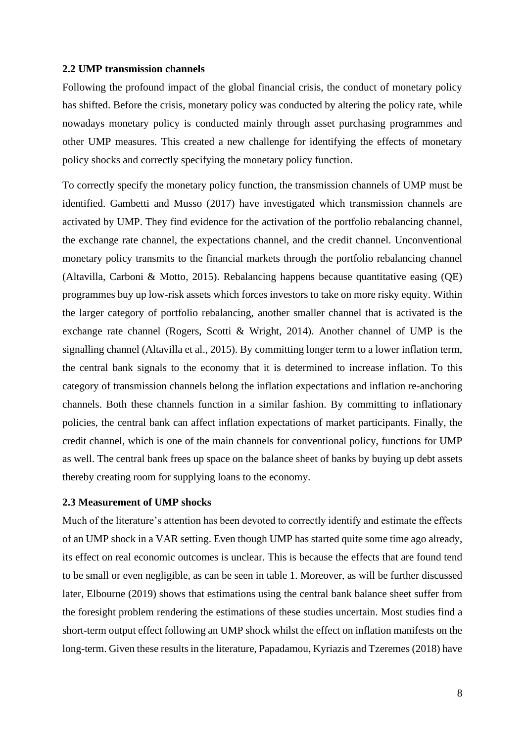#### <span id="page-7-0"></span>**2.2 UMP transmission channels**

Following the profound impact of the global financial crisis, the conduct of monetary policy has shifted. Before the crisis, monetary policy was conducted by altering the policy rate, while nowadays monetary policy is conducted mainly through asset purchasing programmes and other UMP measures. This created a new challenge for identifying the effects of monetary policy shocks and correctly specifying the monetary policy function.

To correctly specify the monetary policy function, the transmission channels of UMP must be identified. Gambetti and Musso (2017) have investigated which transmission channels are activated by UMP. They find evidence for the activation of the portfolio rebalancing channel, the exchange rate channel, the expectations channel, and the credit channel. Unconventional monetary policy transmits to the financial markets through the portfolio rebalancing channel (Altavilla, Carboni & Motto, 2015). Rebalancing happens because quantitative easing (QE) programmes buy up low-risk assets which forces investors to take on more risky equity. Within the larger category of portfolio rebalancing, another smaller channel that is activated is the exchange rate channel (Rogers, Scotti & Wright, 2014). Another channel of UMP is the signalling channel (Altavilla et al., 2015). By committing longer term to a lower inflation term, the central bank signals to the economy that it is determined to increase inflation. To this category of transmission channels belong the inflation expectations and inflation re-anchoring channels. Both these channels function in a similar fashion. By committing to inflationary policies, the central bank can affect inflation expectations of market participants. Finally, the credit channel, which is one of the main channels for conventional policy, functions for UMP as well. The central bank frees up space on the balance sheet of banks by buying up debt assets thereby creating room for supplying loans to the economy.

#### <span id="page-7-1"></span>**2.3 Measurement of UMP shocks**

Much of the literature's attention has been devoted to correctly identify and estimate the effects of an UMP shock in a VAR setting. Even though UMP has started quite some time ago already, its effect on real economic outcomes is unclear. This is because the effects that are found tend to be small or even negligible, as can be seen in table 1. Moreover, as will be further discussed later, Elbourne (2019) shows that estimations using the central bank balance sheet suffer from the foresight problem rendering the estimations of these studies uncertain. Most studies find a short-term output effect following an UMP shock whilst the effect on inflation manifests on the long-term. Given these results in the literature, Papadamou, Kyriazis and Tzeremes (2018) have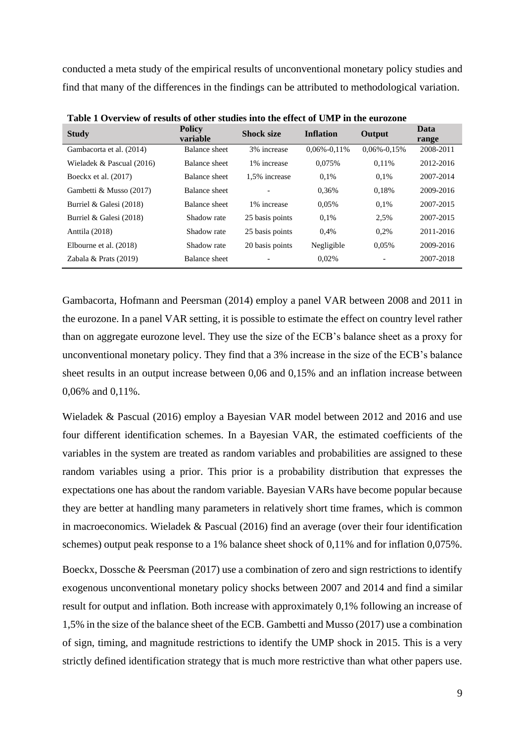conducted a meta study of the empirical results of unconventional monetary policy studies and find that many of the differences in the findings can be attributed to methodological variation.

| <b>Study</b>              | <b>Policy</b><br>variable | <b>Shock size</b> | <b>Inflation</b>  | Output            | Data<br>range |
|---------------------------|---------------------------|-------------------|-------------------|-------------------|---------------|
| Gambacorta et al. (2014)  | Balance sheet             | 3% increase       | $0.06\% - 0.11\%$ | $0.06\% - 0.15\%$ | 2008-2011     |
| Wieladek & Pascual (2016) | Balance sheet             | 1% increase       | 0.075%            | 0.11%             | 2012-2016     |
| Boeckx et al. (2017)      | Balance sheet             | 1.5% increase     | 0.1%              | 0.1%              | 2007-2014     |
| Gambetti & Musso (2017)   | Balance sheet             |                   | 0.36%             | 0.18%             | 2009-2016     |
| Burriel & Galesi (2018)   | Balance sheet             | 1% increase       | 0,05%             | 0.1%              | 2007-2015     |
| Burriel & Galesi (2018)   | Shadow rate               | 25 basis points   | 0.1%              | 2.5%              | 2007-2015     |
| Anttila (2018)            | Shadow rate               | 25 basis points   | 0.4%              | 0.2%              | 2011-2016     |
| Elbourne et al. (2018)    | Shadow rate               | 20 basis points   | Negligible        | 0.05%             | 2009-2016     |
| Zabala & Prats (2019)     | Balance sheet             |                   | 0.02%             |                   | 2007-2018     |

**Table 1 Overview of results of other studies into the effect of UMP in the eurozone**

Gambacorta, Hofmann and Peersman (2014) employ a panel VAR between 2008 and 2011 in the eurozone. In a panel VAR setting, it is possible to estimate the effect on country level rather than on aggregate eurozone level. They use the size of the ECB's balance sheet as a proxy for unconventional monetary policy. They find that a 3% increase in the size of the ECB's balance sheet results in an output increase between 0,06 and 0,15% and an inflation increase between 0,06% and 0,11%.

Wieladek & Pascual (2016) employ a Bayesian VAR model between 2012 and 2016 and use four different identification schemes. In a Bayesian VAR, the estimated coefficients of the variables in the system are treated as random variables and probabilities are assigned to these random variables using a prior. This prior is a probability distribution that expresses the expectations one has about the random variable. Bayesian VARs have become popular because they are better at handling many parameters in relatively short time frames, which is common in macroeconomics. Wieladek & Pascual (2016) find an average (over their four identification schemes) output peak response to a 1% balance sheet shock of 0,11% and for inflation 0,075%.

Boeckx, Dossche & Peersman (2017) use a combination of zero and sign restrictions to identify exogenous unconventional monetary policy shocks between 2007 and 2014 and find a similar result for output and inflation. Both increase with approximately 0,1% following an increase of 1,5% in the size of the balance sheet of the ECB. Gambetti and Musso (2017) use a combination of sign, timing, and magnitude restrictions to identify the UMP shock in 2015. This is a very strictly defined identification strategy that is much more restrictive than what other papers use.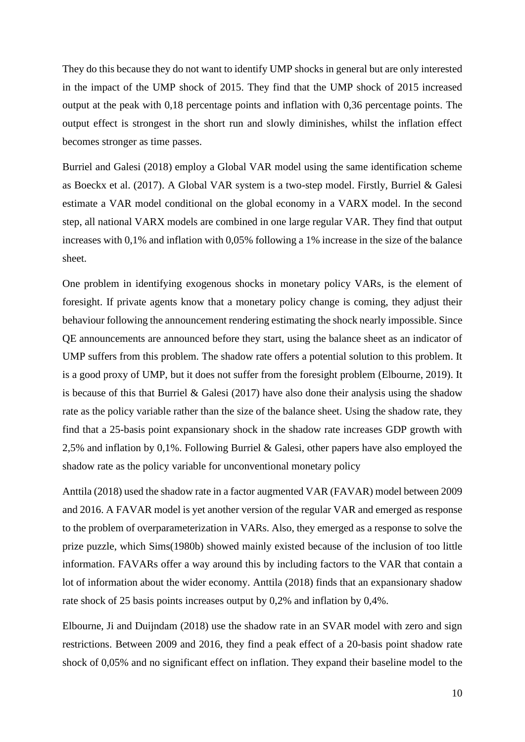They do this because they do not want to identify UMP shocks in general but are only interested in the impact of the UMP shock of 2015. They find that the UMP shock of 2015 increased output at the peak with 0,18 percentage points and inflation with 0,36 percentage points. The output effect is strongest in the short run and slowly diminishes, whilst the inflation effect becomes stronger as time passes.

Burriel and Galesi (2018) employ a Global VAR model using the same identification scheme as Boeckx et al. (2017). A Global VAR system is a two-step model. Firstly, Burriel & Galesi estimate a VAR model conditional on the global economy in a VARX model. In the second step, all national VARX models are combined in one large regular VAR. They find that output increases with 0,1% and inflation with 0,05% following a 1% increase in the size of the balance sheet.

One problem in identifying exogenous shocks in monetary policy VARs, is the element of foresight. If private agents know that a monetary policy change is coming, they adjust their behaviour following the announcement rendering estimating the shock nearly impossible. Since QE announcements are announced before they start, using the balance sheet as an indicator of UMP suffers from this problem. The shadow rate offers a potential solution to this problem. It is a good proxy of UMP, but it does not suffer from the foresight problem (Elbourne, 2019). It is because of this that Burriel  $& Galesi (2017)$  have also done their analysis using the shadow rate as the policy variable rather than the size of the balance sheet. Using the shadow rate, they find that a 25-basis point expansionary shock in the shadow rate increases GDP growth with 2,5% and inflation by 0,1%. Following Burriel & Galesi, other papers have also employed the shadow rate as the policy variable for unconventional monetary policy

Anttila (2018) used the shadow rate in a factor augmented VAR (FAVAR) model between 2009 and 2016. A FAVAR model is yet another version of the regular VAR and emerged as response to the problem of overparameterization in VARs. Also, they emerged as a response to solve the prize puzzle, which Sims(1980b) showed mainly existed because of the inclusion of too little information. FAVARs offer a way around this by including factors to the VAR that contain a lot of information about the wider economy. Anttila (2018) finds that an expansionary shadow rate shock of 25 basis points increases output by 0,2% and inflation by 0,4%.

Elbourne, Ji and Duijndam (2018) use the shadow rate in an SVAR model with zero and sign restrictions. Between 2009 and 2016, they find a peak effect of a 20-basis point shadow rate shock of 0,05% and no significant effect on inflation. They expand their baseline model to the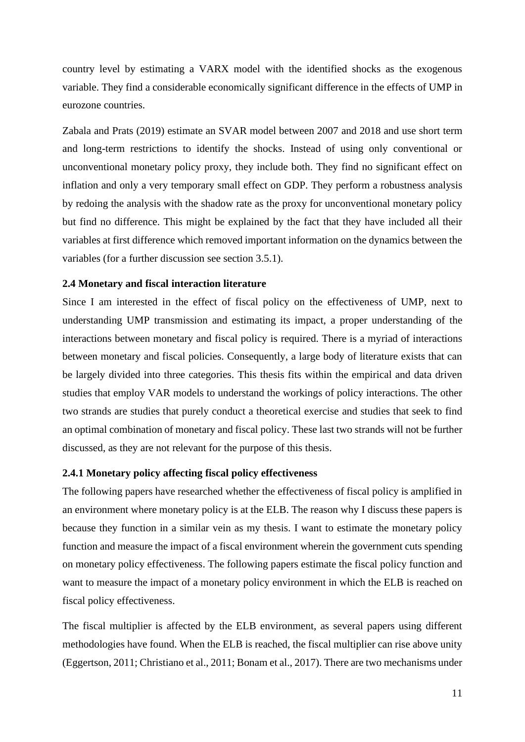country level by estimating a VARX model with the identified shocks as the exogenous variable. They find a considerable economically significant difference in the effects of UMP in eurozone countries.

Zabala and Prats (2019) estimate an SVAR model between 2007 and 2018 and use short term and long-term restrictions to identify the shocks. Instead of using only conventional or unconventional monetary policy proxy, they include both. They find no significant effect on inflation and only a very temporary small effect on GDP. They perform a robustness analysis by redoing the analysis with the shadow rate as the proxy for unconventional monetary policy but find no difference. This might be explained by the fact that they have included all their variables at first difference which removed important information on the dynamics between the variables (for a further discussion see section 3.5.1).

#### <span id="page-10-0"></span>**2.4 Monetary and fiscal interaction literature**

Since I am interested in the effect of fiscal policy on the effectiveness of UMP, next to understanding UMP transmission and estimating its impact, a proper understanding of the interactions between monetary and fiscal policy is required. There is a myriad of interactions between monetary and fiscal policies. Consequently, a large body of literature exists that can be largely divided into three categories. This thesis fits within the empirical and data driven studies that employ VAR models to understand the workings of policy interactions. The other two strands are studies that purely conduct a theoretical exercise and studies that seek to find an optimal combination of monetary and fiscal policy. These last two strands will not be further discussed, as they are not relevant for the purpose of this thesis.

#### <span id="page-10-1"></span>**2.4.1 Monetary policy affecting fiscal policy effectiveness**

The following papers have researched whether the effectiveness of fiscal policy is amplified in an environment where monetary policy is at the ELB. The reason why I discuss these papers is because they function in a similar vein as my thesis. I want to estimate the monetary policy function and measure the impact of a fiscal environment wherein the government cuts spending on monetary policy effectiveness. The following papers estimate the fiscal policy function and want to measure the impact of a monetary policy environment in which the ELB is reached on fiscal policy effectiveness.

The fiscal multiplier is affected by the ELB environment, as several papers using different methodologies have found. When the ELB is reached, the fiscal multiplier can rise above unity (Eggertson, 2011; Christiano et al., 2011; Bonam et al., 2017). There are two mechanisms under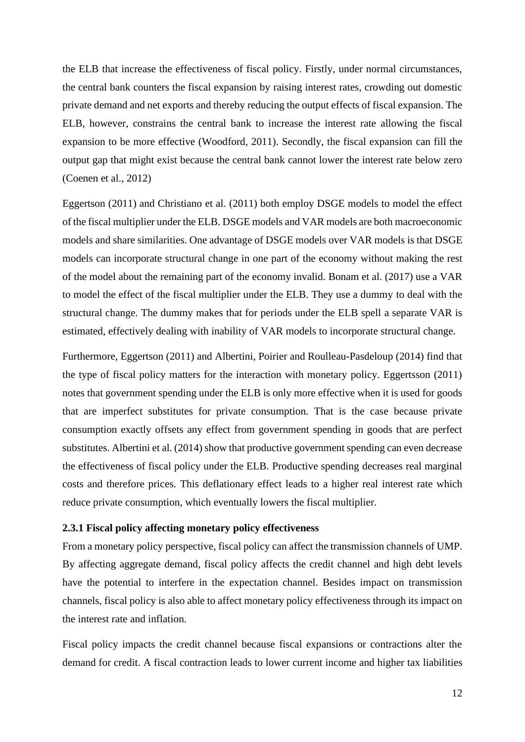the ELB that increase the effectiveness of fiscal policy. Firstly, under normal circumstances, the central bank counters the fiscal expansion by raising interest rates, crowding out domestic private demand and net exports and thereby reducing the output effects of fiscal expansion. The ELB, however, constrains the central bank to increase the interest rate allowing the fiscal expansion to be more effective (Woodford, 2011). Secondly, the fiscal expansion can fill the output gap that might exist because the central bank cannot lower the interest rate below zero (Coenen et al., 2012)

Eggertson (2011) and Christiano et al. (2011) both employ DSGE models to model the effect of the fiscal multiplier under the ELB. DSGE models and VAR models are both macroeconomic models and share similarities. One advantage of DSGE models over VAR models is that DSGE models can incorporate structural change in one part of the economy without making the rest of the model about the remaining part of the economy invalid. Bonam et al. (2017) use a VAR to model the effect of the fiscal multiplier under the ELB. They use a dummy to deal with the structural change. The dummy makes that for periods under the ELB spell a separate VAR is estimated, effectively dealing with inability of VAR models to incorporate structural change.

Furthermore, Eggertson (2011) and Albertini, Poirier and Roulleau-Pasdeloup (2014) find that the type of fiscal policy matters for the interaction with monetary policy. Eggertsson (2011) notes that government spending under the ELB is only more effective when it is used for goods that are imperfect substitutes for private consumption. That is the case because private consumption exactly offsets any effect from government spending in goods that are perfect substitutes. Albertini et al. (2014) show that productive government spending can even decrease the effectiveness of fiscal policy under the ELB. Productive spending decreases real marginal costs and therefore prices. This deflationary effect leads to a higher real interest rate which reduce private consumption, which eventually lowers the fiscal multiplier.

# <span id="page-11-0"></span>**2.3.1 Fiscal policy affecting monetary policy effectiveness**

From a monetary policy perspective, fiscal policy can affect the transmission channels of UMP. By affecting aggregate demand, fiscal policy affects the credit channel and high debt levels have the potential to interfere in the expectation channel. Besides impact on transmission channels, fiscal policy is also able to affect monetary policy effectiveness through its impact on the interest rate and inflation.

Fiscal policy impacts the credit channel because fiscal expansions or contractions alter the demand for credit. A fiscal contraction leads to lower current income and higher tax liabilities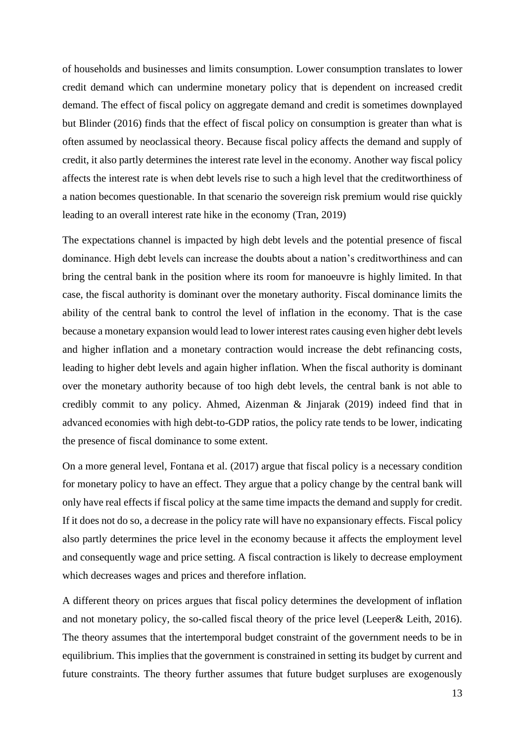of households and businesses and limits consumption. Lower consumption translates to lower credit demand which can undermine monetary policy that is dependent on increased credit demand. The effect of fiscal policy on aggregate demand and credit is sometimes downplayed but Blinder (2016) finds that the effect of fiscal policy on consumption is greater than what is often assumed by neoclassical theory. Because fiscal policy affects the demand and supply of credit, it also partly determines the interest rate level in the economy. Another way fiscal policy affects the interest rate is when debt levels rise to such a high level that the creditworthiness of a nation becomes questionable. In that scenario the sovereign risk premium would rise quickly leading to an overall interest rate hike in the economy (Tran, 2019)

The expectations channel is impacted by high debt levels and the potential presence of fiscal dominance. High debt levels can increase the doubts about a nation's creditworthiness and can bring the central bank in the position where its room for manoeuvre is highly limited. In that case, the fiscal authority is dominant over the monetary authority. Fiscal dominance limits the ability of the central bank to control the level of inflation in the economy. That is the case because a monetary expansion would lead to lower interest rates causing even higher debt levels and higher inflation and a monetary contraction would increase the debt refinancing costs, leading to higher debt levels and again higher inflation. When the fiscal authority is dominant over the monetary authority because of too high debt levels, the central bank is not able to credibly commit to any policy. Ahmed, Aizenman & Jinjarak (2019) indeed find that in advanced economies with high debt-to-GDP ratios, the policy rate tends to be lower, indicating the presence of fiscal dominance to some extent.

On a more general level, Fontana et al. (2017) argue that fiscal policy is a necessary condition for monetary policy to have an effect. They argue that a policy change by the central bank will only have real effects if fiscal policy at the same time impacts the demand and supply for credit. If it does not do so, a decrease in the policy rate will have no expansionary effects. Fiscal policy also partly determines the price level in the economy because it affects the employment level and consequently wage and price setting. A fiscal contraction is likely to decrease employment which decreases wages and prices and therefore inflation.

A different theory on prices argues that fiscal policy determines the development of inflation and not monetary policy, the so-called fiscal theory of the price level (Leeper& Leith, 2016). The theory assumes that the intertemporal budget constraint of the government needs to be in equilibrium. This implies that the government is constrained in setting its budget by current and future constraints. The theory further assumes that future budget surpluses are exogenously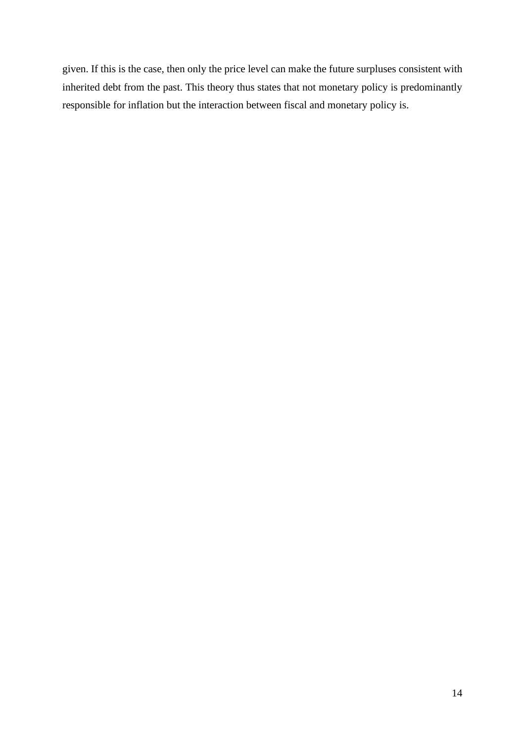given. If this is the case, then only the price level can make the future surpluses consistent with inherited debt from the past. This theory thus states that not monetary policy is predominantly responsible for inflation but the interaction between fiscal and monetary policy is.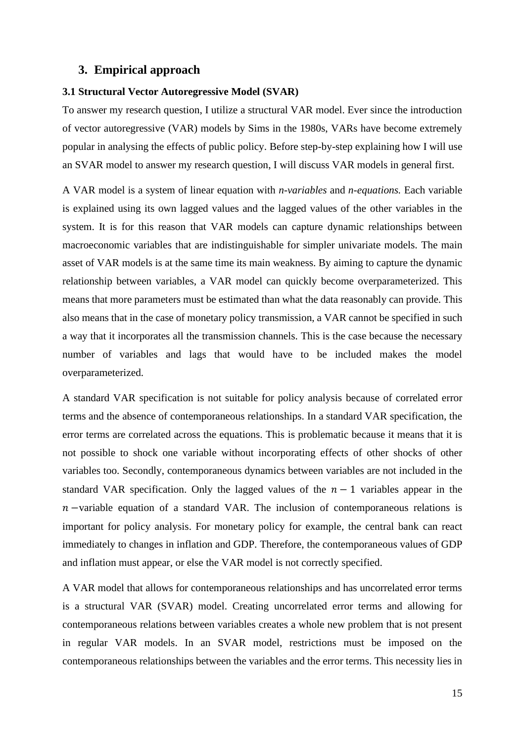# <span id="page-14-0"></span>**3. Empirical approach**

#### <span id="page-14-1"></span>**3.1 Structural Vector Autoregressive Model (SVAR)**

To answer my research question, I utilize a structural VAR model. Ever since the introduction of vector autoregressive (VAR) models by Sims in the 1980s, VARs have become extremely popular in analysing the effects of public policy. Before step-by-step explaining how I will use an SVAR model to answer my research question, I will discuss VAR models in general first.

A VAR model is a system of linear equation with *n-variables* and *n-equations.* Each variable is explained using its own lagged values and the lagged values of the other variables in the system. It is for this reason that VAR models can capture dynamic relationships between macroeconomic variables that are indistinguishable for simpler univariate models. The main asset of VAR models is at the same time its main weakness. By aiming to capture the dynamic relationship between variables, a VAR model can quickly become overparameterized. This means that more parameters must be estimated than what the data reasonably can provide. This also means that in the case of monetary policy transmission, a VAR cannot be specified in such a way that it incorporates all the transmission channels. This is the case because the necessary number of variables and lags that would have to be included makes the model overparameterized.

A standard VAR specification is not suitable for policy analysis because of correlated error terms and the absence of contemporaneous relationships. In a standard VAR specification, the error terms are correlated across the equations. This is problematic because it means that it is not possible to shock one variable without incorporating effects of other shocks of other variables too. Secondly, contemporaneous dynamics between variables are not included in the standard VAR specification. Only the lagged values of the  $n - 1$  variables appear in the  $n$  –variable equation of a standard VAR. The inclusion of contemporaneous relations is important for policy analysis. For monetary policy for example, the central bank can react immediately to changes in inflation and GDP. Therefore, the contemporaneous values of GDP and inflation must appear, or else the VAR model is not correctly specified.

A VAR model that allows for contemporaneous relationships and has uncorrelated error terms is a structural VAR (SVAR) model. Creating uncorrelated error terms and allowing for contemporaneous relations between variables creates a whole new problem that is not present in regular VAR models. In an SVAR model, restrictions must be imposed on the contemporaneous relationships between the variables and the error terms. This necessity lies in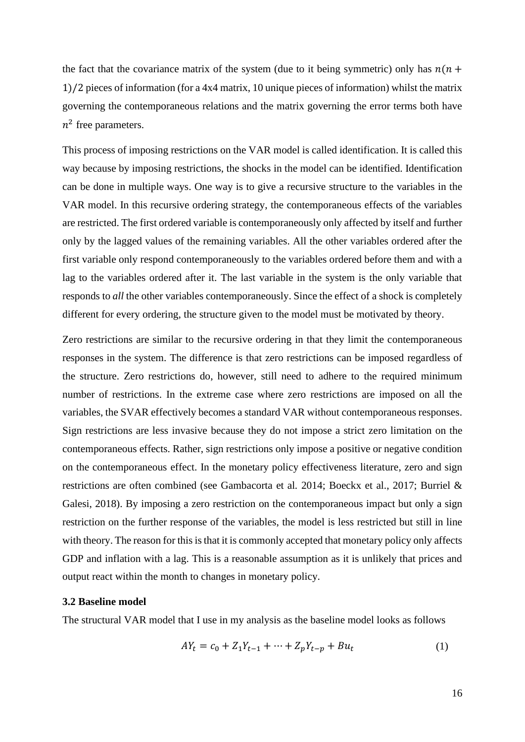the fact that the covariance matrix of the system (due to it being symmetric) only has  $n(n +$ 1)/2 pieces of information (for a 4x4 matrix, 10 unique pieces of information) whilst the matrix governing the contemporaneous relations and the matrix governing the error terms both have  $n^2$  free parameters.

This process of imposing restrictions on the VAR model is called identification. It is called this way because by imposing restrictions, the shocks in the model can be identified. Identification can be done in multiple ways. One way is to give a recursive structure to the variables in the VAR model. In this recursive ordering strategy, the contemporaneous effects of the variables are restricted. The first ordered variable is contemporaneously only affected by itself and further only by the lagged values of the remaining variables. All the other variables ordered after the first variable only respond contemporaneously to the variables ordered before them and with a lag to the variables ordered after it. The last variable in the system is the only variable that responds to *all* the other variables contemporaneously. Since the effect of a shock is completely different for every ordering, the structure given to the model must be motivated by theory.

Zero restrictions are similar to the recursive ordering in that they limit the contemporaneous responses in the system. The difference is that zero restrictions can be imposed regardless of the structure. Zero restrictions do, however, still need to adhere to the required minimum number of restrictions. In the extreme case where zero restrictions are imposed on all the variables, the SVAR effectively becomes a standard VAR without contemporaneous responses. Sign restrictions are less invasive because they do not impose a strict zero limitation on the contemporaneous effects. Rather, sign restrictions only impose a positive or negative condition on the contemporaneous effect. In the monetary policy effectiveness literature, zero and sign restrictions are often combined (see Gambacorta et al*.* 2014; Boeckx et al., 2017; Burriel & Galesi, 2018). By imposing a zero restriction on the contemporaneous impact but only a sign restriction on the further response of the variables, the model is less restricted but still in line with theory. The reason for this is that it is commonly accepted that monetary policy only affects GDP and inflation with a lag. This is a reasonable assumption as it is unlikely that prices and output react within the month to changes in monetary policy.

#### <span id="page-15-0"></span>**3.2 Baseline model**

The structural VAR model that I use in my analysis as the baseline model looks as follows

$$
AY_t = c_0 + Z_1 Y_{t-1} + \dots + Z_p Y_{t-p} + Bu_t \tag{1}
$$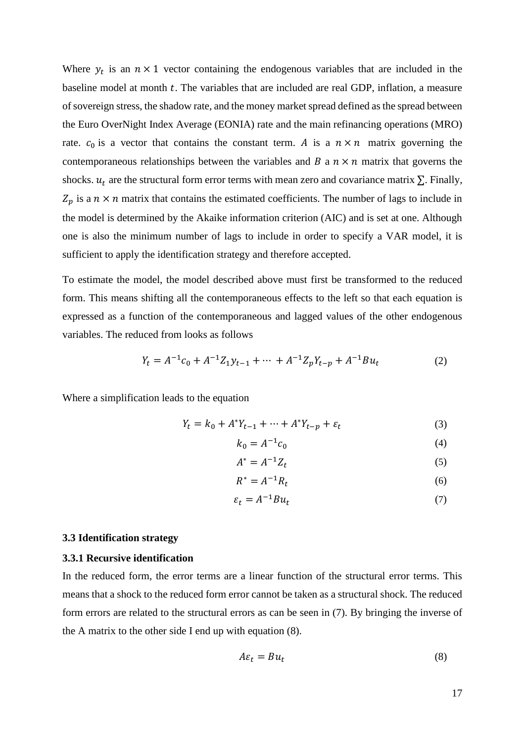Where  $y_t$  is an  $n \times 1$  vector containing the endogenous variables that are included in the baseline model at month  $t$ . The variables that are included are real GDP, inflation, a measure of sovereign stress, the shadow rate, and the money market spread defined as the spread between the Euro OverNight Index Average (EONIA) rate and the main refinancing operations (MRO) rate.  $c_0$  is a vector that contains the constant term. A is a  $n \times n$  matrix governing the contemporaneous relationships between the variables and  $B$  a  $n \times n$  matrix that governs the shocks.  $u_t$  are the structural form error terms with mean zero and covariance matrix  $\Sigma$ . Finally,  $Z_p$  is a  $n \times n$  matrix that contains the estimated coefficients. The number of lags to include in the model is determined by the Akaike information criterion (AIC) and is set at one. Although one is also the minimum number of lags to include in order to specify a VAR model, it is sufficient to apply the identification strategy and therefore accepted.

To estimate the model, the model described above must first be transformed to the reduced form. This means shifting all the contemporaneous effects to the left so that each equation is expressed as a function of the contemporaneous and lagged values of the other endogenous variables. The reduced from looks as follows

$$
Y_t = A^{-1}c_0 + A^{-1}Z_1y_{t-1} + \dots + A^{-1}Z_pY_{t-p} + A^{-1}Bu_t
$$
 (2)

Where a simplification leads to the equation

$$
Y_t = k_0 + A^* Y_{t-1} + \dots + A^* Y_{t-p} + \varepsilon_t \tag{3}
$$

$$
k_0 = A^{-1}c_0 \tag{4}
$$

$$
A^* = A^{-1}Z_t \tag{5}
$$

$$
R^* = A^{-1}R_t \tag{6}
$$

$$
\varepsilon_t = A^{-1} B u_t \tag{7}
$$

#### <span id="page-16-0"></span>**3.3 Identification strategy**

## <span id="page-16-1"></span>**3.3.1 Recursive identification**

In the reduced form, the error terms are a linear function of the structural error terms. This means that a shock to the reduced form error cannot be taken as a structural shock. The reduced form errors are related to the structural errors as can be seen in (7). By bringing the inverse of the A matrix to the other side I end up with equation (8).

$$
A\varepsilon_t = Bu_t \tag{8}
$$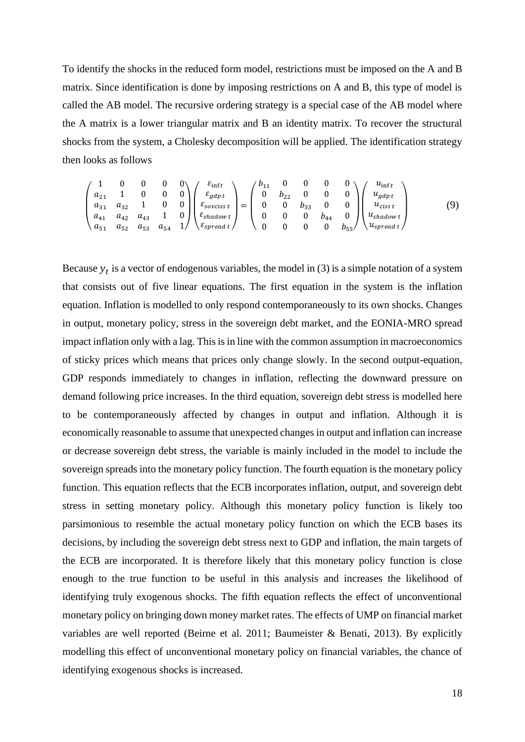To identify the shocks in the reduced form model, restrictions must be imposed on the A and B matrix. Since identification is done by imposing restrictions on A and B, this type of model is called the AB model. The recursive ordering strategy is a special case of the AB model where the A matrix is a lower triangular matrix and B an identity matrix. To recover the structural shocks from the system, a Cholesky decomposition will be applied. The identification strategy then looks as follows

$$
\begin{pmatrix}\n1 & 0 & 0 & 0 & 0 \\
a_{21} & 1 & 0 & 0 & 0 \\
a_{31} & a_{32} & 1 & 0 & 0 \\
a_{41} & a_{42} & a_{43} & 1 & 0 \\
a_{51} & a_{52} & a_{53} & a_{54} & 1\n\end{pmatrix}\n\begin{pmatrix}\n\varepsilon_{\text{inf}} \\
\varepsilon_{gdp\,t} \\
\varepsilon_{\text{sovciss}\,t} \\
\varepsilon_{\text{shadow}\,t} \\
\varepsilon_{\text{spread}\,t}\n\end{pmatrix} =\n\begin{pmatrix}\nb_{11} & 0 & 0 & 0 & 0 \\
0 & b_{22} & 0 & 0 & 0 \\
0 & 0 & b_{33} & 0 & 0 \\
0 & 0 & 0 & b_{44} & 0 \\
0 & 0 & 0 & 0 & b_{55}\n\end{pmatrix}\n\begin{pmatrix}\nu_{\text{inf}} \\
u_{gdp\,t} \\
u_{\text{ciss}\,t} \\
u_{\text{shadow}\,t} \\
u_{\text{spread}\,t}\n\end{pmatrix} (9)
$$

Because  $y_t$  is a vector of endogenous variables, the model in (3) is a simple notation of a system that consists out of five linear equations. The first equation in the system is the inflation equation. Inflation is modelled to only respond contemporaneously to its own shocks. Changes in output, monetary policy, stress in the sovereign debt market, and the EONIA-MRO spread impact inflation only with a lag. This is in line with the common assumption in macroeconomics of sticky prices which means that prices only change slowly. In the second output-equation, GDP responds immediately to changes in inflation, reflecting the downward pressure on demand following price increases. In the third equation, sovereign debt stress is modelled here to be contemporaneously affected by changes in output and inflation. Although it is economically reasonable to assume that unexpected changes in output and inflation can increase or decrease sovereign debt stress, the variable is mainly included in the model to include the sovereign spreads into the monetary policy function. The fourth equation is the monetary policy function. This equation reflects that the ECB incorporates inflation, output, and sovereign debt stress in setting monetary policy. Although this monetary policy function is likely too parsimonious to resemble the actual monetary policy function on which the ECB bases its decisions, by including the sovereign debt stress next to GDP and inflation, the main targets of the ECB are incorporated. It is therefore likely that this monetary policy function is close enough to the true function to be useful in this analysis and increases the likelihood of identifying truly exogenous shocks. The fifth equation reflects the effect of unconventional monetary policy on bringing down money market rates. The effects of UMP on financial market variables are well reported (Beirne et al. 2011; Baumeister & Benati, 2013). By explicitly modelling this effect of unconventional monetary policy on financial variables, the chance of identifying exogenous shocks is increased.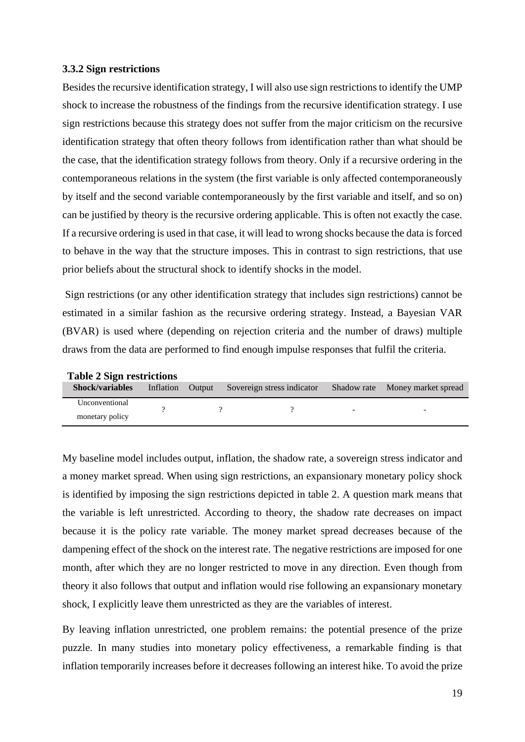#### <span id="page-18-0"></span>**3.3.2 Sign restrictions**

Besides the recursive identification strategy, I will also use sign restrictions to identify the UMP shock to increase the robustness of the findings from the recursive identification strategy. I use sign restrictions because this strategy does not suffer from the major criticism on the recursive identification strategy that often theory follows from identification rather than what should be the case, that the identification strategy follows from theory. Only if a recursive ordering in the contemporaneous relations in the system (the first variable is only affected contemporaneously by itself and the second variable contemporaneously by the first variable and itself, and so on) can be justified by theory is the recursive ordering applicable. This is often not exactly the case. If a recursive ordering is used in that case, it will lead to wrong shocks because the data is forced to behave in the way that the structure imposes. This in contrast to sign restrictions, that use prior beliefs about the structural shock to identify shocks in the model.

Sign restrictions (or any other identification strategy that includes sign restrictions) cannot be estimated in a similar fashion as the recursive ordering strategy. Instead, a Bayesian VAR (BVAR) is used where (depending on rejection criteria and the number of draws) multiple draws from the data are performed to find enough impulse responses that fulfil the criteria.

| $1400 \pm 0.60$ resulted $\mu_{\rm B}$ |           |               |                            |  |                                 |
|----------------------------------------|-----------|---------------|----------------------------|--|---------------------------------|
| <b>Shock/variables</b>                 | Inflation | <b>Output</b> | Sovereign stress indicator |  | Shadow rate Money market spread |
| Unconventional                         |           |               |                            |  |                                 |
| monetary policy                        |           |               |                            |  |                                 |

**Table 2 Sign restrictions**

My baseline model includes output, inflation, the shadow rate, a sovereign stress indicator and a money market spread. When using sign restrictions, an expansionary monetary policy shock is identified by imposing the sign restrictions depicted in table 2. A question mark means that the variable is left unrestricted. According to theory, the shadow rate decreases on impact because it is the policy rate variable. The money market spread decreases because of the dampening effect of the shock on the interest rate. The negative restrictions are imposed for one month, after which they are no longer restricted to move in any direction. Even though from theory it also follows that output and inflation would rise following an expansionary monetary shock, I explicitly leave them unrestricted as they are the variables of interest.

By leaving inflation unrestricted, one problem remains: the potential presence of the prize puzzle. In many studies into monetary policy effectiveness, a remarkable finding is that inflation temporarily increases before it decreases following an interest hike. To avoid the prize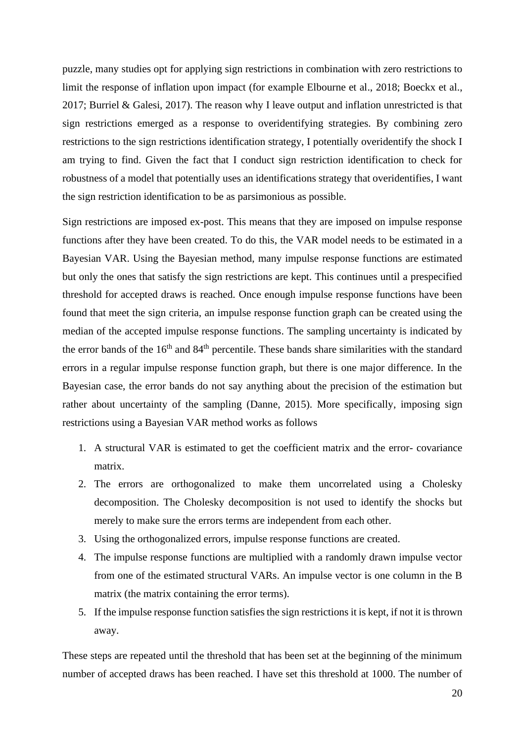puzzle, many studies opt for applying sign restrictions in combination with zero restrictions to limit the response of inflation upon impact (for example Elbourne et al., 2018; Boeckx et al., 2017; Burriel & Galesi, 2017). The reason why I leave output and inflation unrestricted is that sign restrictions emerged as a response to overidentifying strategies. By combining zero restrictions to the sign restrictions identification strategy, I potentially overidentify the shock I am trying to find. Given the fact that I conduct sign restriction identification to check for robustness of a model that potentially uses an identifications strategy that overidentifies, I want the sign restriction identification to be as parsimonious as possible.

Sign restrictions are imposed ex-post. This means that they are imposed on impulse response functions after they have been created. To do this, the VAR model needs to be estimated in a Bayesian VAR. Using the Bayesian method, many impulse response functions are estimated but only the ones that satisfy the sign restrictions are kept. This continues until a prespecified threshold for accepted draws is reached. Once enough impulse response functions have been found that meet the sign criteria, an impulse response function graph can be created using the median of the accepted impulse response functions. The sampling uncertainty is indicated by the error bands of the 16<sup>th</sup> and 84<sup>th</sup> percentile. These bands share similarities with the standard errors in a regular impulse response function graph, but there is one major difference. In the Bayesian case, the error bands do not say anything about the precision of the estimation but rather about uncertainty of the sampling (Danne, 2015). More specifically, imposing sign restrictions using a Bayesian VAR method works as follows

- 1. A structural VAR is estimated to get the coefficient matrix and the error- covariance matrix.
- 2. The errors are orthogonalized to make them uncorrelated using a Cholesky decomposition. The Cholesky decomposition is not used to identify the shocks but merely to make sure the errors terms are independent from each other.
- 3. Using the orthogonalized errors, impulse response functions are created.
- 4. The impulse response functions are multiplied with a randomly drawn impulse vector from one of the estimated structural VARs. An impulse vector is one column in the B matrix (the matrix containing the error terms).
- 5. If the impulse response function satisfies the sign restrictions it is kept, if not it is thrown away.

These steps are repeated until the threshold that has been set at the beginning of the minimum number of accepted draws has been reached. I have set this threshold at 1000. The number of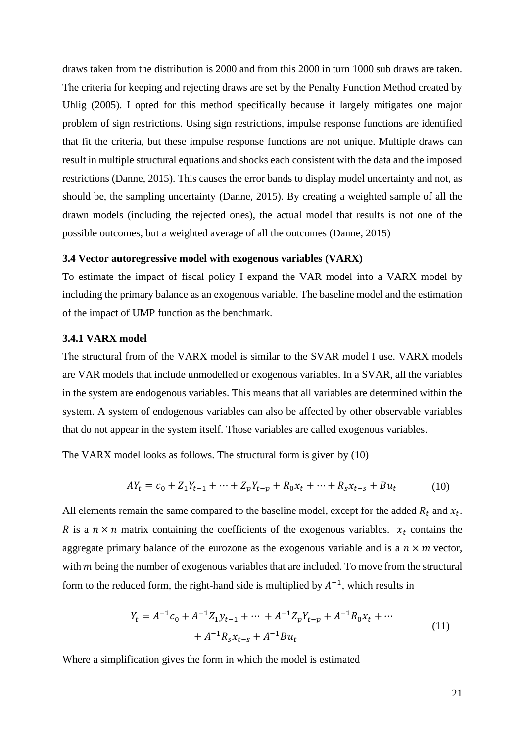draws taken from the distribution is 2000 and from this 2000 in turn 1000 sub draws are taken. The criteria for keeping and rejecting draws are set by the Penalty Function Method created by Uhlig (2005). I opted for this method specifically because it largely mitigates one major problem of sign restrictions. Using sign restrictions, impulse response functions are identified that fit the criteria, but these impulse response functions are not unique. Multiple draws can result in multiple structural equations and shocks each consistent with the data and the imposed restrictions (Danne, 2015). This causes the error bands to display model uncertainty and not, as should be, the sampling uncertainty (Danne, 2015). By creating a weighted sample of all the drawn models (including the rejected ones), the actual model that results is not one of the possible outcomes, but a weighted average of all the outcomes (Danne, 2015)

#### <span id="page-20-0"></span>**3.4 Vector autoregressive model with exogenous variables (VARX)**

To estimate the impact of fiscal policy I expand the VAR model into a VARX model by including the primary balance as an exogenous variable. The baseline model and the estimation of the impact of UMP function as the benchmark.

#### <span id="page-20-1"></span>**3.4.1 VARX model**

The structural from of the VARX model is similar to the SVAR model I use. VARX models are VAR models that include unmodelled or exogenous variables. In a SVAR, all the variables in the system are endogenous variables. This means that all variables are determined within the system. A system of endogenous variables can also be affected by other observable variables that do not appear in the system itself. Those variables are called exogenous variables.

The VARX model looks as follows. The structural form is given by (10)

$$
AY_t = c_0 + Z_1 Y_{t-1} + \dots + Z_p Y_{t-p} + R_0 x_t + \dots + R_s x_{t-s} + B u_t \tag{10}
$$

All elements remain the same compared to the baseline model, except for the added  $R_t$  and  $x_t$ . R is a  $n \times n$  matrix containing the coefficients of the exogenous variables.  $x_t$  contains the aggregate primary balance of the eurozone as the exogenous variable and is a  $n \times m$  vector, with  $m$  being the number of exogenous variables that are included. To move from the structural form to the reduced form, the right-hand side is multiplied by  $A^{-1}$ , which results in

$$
Y_t = A^{-1}c_0 + A^{-1}Z_1y_{t-1} + \dots + A^{-1}Z_pY_{t-p} + A^{-1}R_0x_t + \dots
$$
  
+  $A^{-1}R_sx_{t-s} + A^{-1}Bu_t$  (11)

Where a simplification gives the form in which the model is estimated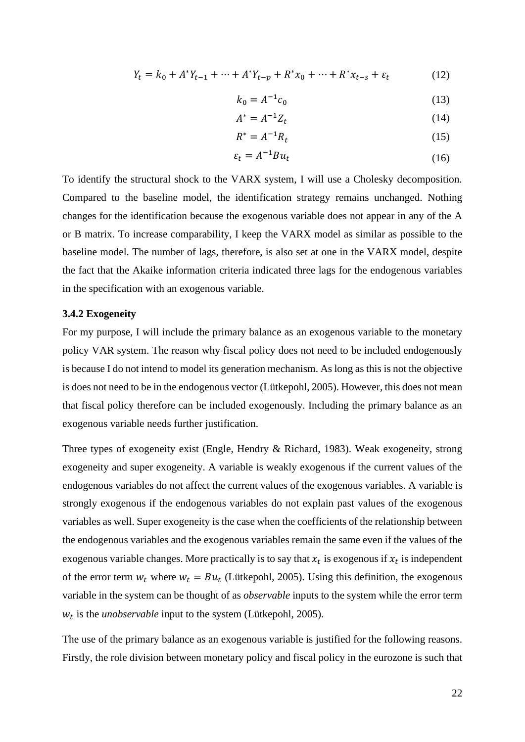$$
Y_t = k_0 + A^* Y_{t-1} + \dots + A^* Y_{t-p} + R^* x_0 + \dots + R^* x_{t-s} + \varepsilon_t \tag{12}
$$

$$
k_0 = A^{-1}c_0 \t\t(13)
$$

$$
A^* = A^{-1}Z_t \tag{14}
$$

$$
R^* = A^{-1}R_t \tag{15}
$$

$$
\varepsilon_t = A^{-1} B u_t \tag{16}
$$

To identify the structural shock to the VARX system, I will use a Cholesky decomposition. Compared to the baseline model, the identification strategy remains unchanged. Nothing changes for the identification because the exogenous variable does not appear in any of the A or B matrix. To increase comparability, I keep the VARX model as similar as possible to the baseline model. The number of lags, therefore, is also set at one in the VARX model, despite the fact that the Akaike information criteria indicated three lags for the endogenous variables in the specification with an exogenous variable.

#### <span id="page-21-0"></span>**3.4.2 Exogeneity**

For my purpose, I will include the primary balance as an exogenous variable to the monetary policy VAR system. The reason why fiscal policy does not need to be included endogenously is because I do not intend to model its generation mechanism. As long as this is not the objective is does not need to be in the endogenous vector (Lütkepohl, 2005). However, this does not mean that fiscal policy therefore can be included exogenously. Including the primary balance as an exogenous variable needs further justification.

Three types of exogeneity exist (Engle, Hendry & Richard, 1983). Weak exogeneity, strong exogeneity and super exogeneity. A variable is weakly exogenous if the current values of the endogenous variables do not affect the current values of the exogenous variables. A variable is strongly exogenous if the endogenous variables do not explain past values of the exogenous variables as well. Super exogeneity is the case when the coefficients of the relationship between the endogenous variables and the exogenous variables remain the same even if the values of the exogenous variable changes. More practically is to say that  $x_t$  is exogenous if  $x_t$  is independent of the error term  $w_t$  where  $w_t = Bu_t$  (Lütkepohl, 2005). Using this definition, the exogenous variable in the system can be thought of as *observable* inputs to the system while the error term  $w_t$  is the *unobservable* input to the system (Lütkepohl, 2005).

The use of the primary balance as an exogenous variable is justified for the following reasons. Firstly, the role division between monetary policy and fiscal policy in the eurozone is such that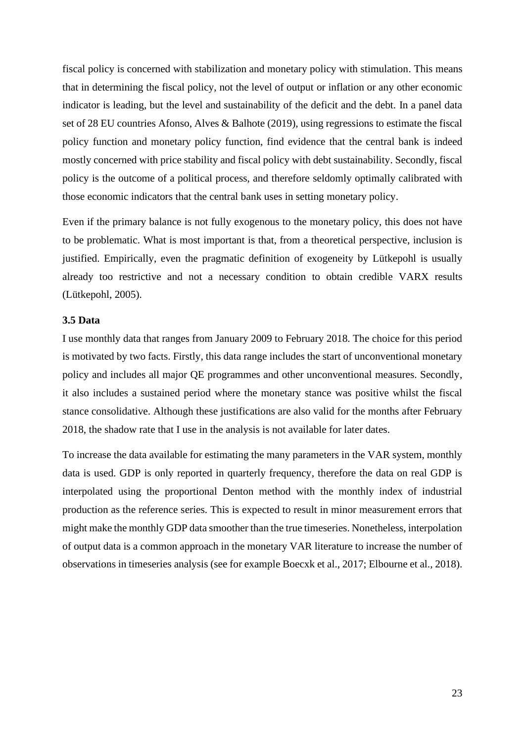fiscal policy is concerned with stabilization and monetary policy with stimulation. This means that in determining the fiscal policy, not the level of output or inflation or any other economic indicator is leading, but the level and sustainability of the deficit and the debt. In a panel data set of 28 EU countries Afonso, Alves & Balhote (2019), using regressions to estimate the fiscal policy function and monetary policy function, find evidence that the central bank is indeed mostly concerned with price stability and fiscal policy with debt sustainability. Secondly, fiscal policy is the outcome of a political process, and therefore seldomly optimally calibrated with those economic indicators that the central bank uses in setting monetary policy.

Even if the primary balance is not fully exogenous to the monetary policy, this does not have to be problematic. What is most important is that, from a theoretical perspective, inclusion is justified. Empirically, even the pragmatic definition of exogeneity by Lütkepohl is usually already too restrictive and not a necessary condition to obtain credible VARX results (Lütkepohl, 2005).

#### <span id="page-22-0"></span>**3.5 Data**

I use monthly data that ranges from January 2009 to February 2018. The choice for this period is motivated by two facts. Firstly, this data range includes the start of unconventional monetary policy and includes all major QE programmes and other unconventional measures. Secondly, it also includes a sustained period where the monetary stance was positive whilst the fiscal stance consolidative. Although these justifications are also valid for the months after February 2018, the shadow rate that I use in the analysis is not available for later dates.

To increase the data available for estimating the many parameters in the VAR system, monthly data is used. GDP is only reported in quarterly frequency, therefore the data on real GDP is interpolated using the proportional Denton method with the monthly index of industrial production as the reference series. This is expected to result in minor measurement errors that might make the monthly GDP data smoother than the true timeseries. Nonetheless, interpolation of output data is a common approach in the monetary VAR literature to increase the number of observations in timeseries analysis (see for example Boecxk et al., 2017; Elbourne et al., 2018).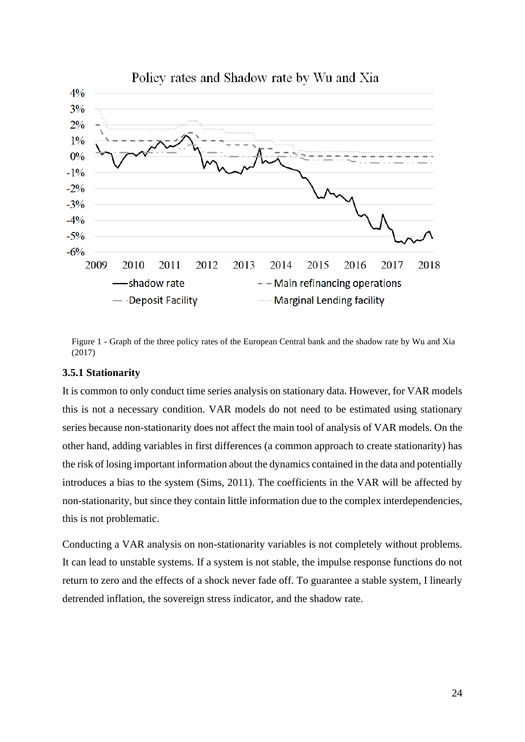

Figure 1 - Graph of the three policy rates of the European Central bank and the shadow rate by Wu and Xia (2017)

# <span id="page-23-0"></span>**3.5.1 Stationarity**

It is common to only conduct time series analysis on stationary data. However, for VAR models this is not a necessary condition. VAR models do not need to be estimated using stationary series because non-stationarity does not affect the main tool of analysis of VAR models. On the other hand, adding variables in first differences (a common approach to create stationarity) has the risk of losing important information about the dynamics contained in the data and potentially introduces a bias to the system (Sims, 2011). The coefficients in the VAR will be affected by non-stationarity, but since they contain little information due to the complex interdependencies, this is not problematic.

Conducting a VAR analysis on non-stationarity variables is not completely without problems. It can lead to unstable systems. If a system is not stable, the impulse response functions do not return to zero and the effects of a shock never fade off. To guarantee a stable system, I linearly detrended inflation, the sovereign stress indicator, and the shadow rate.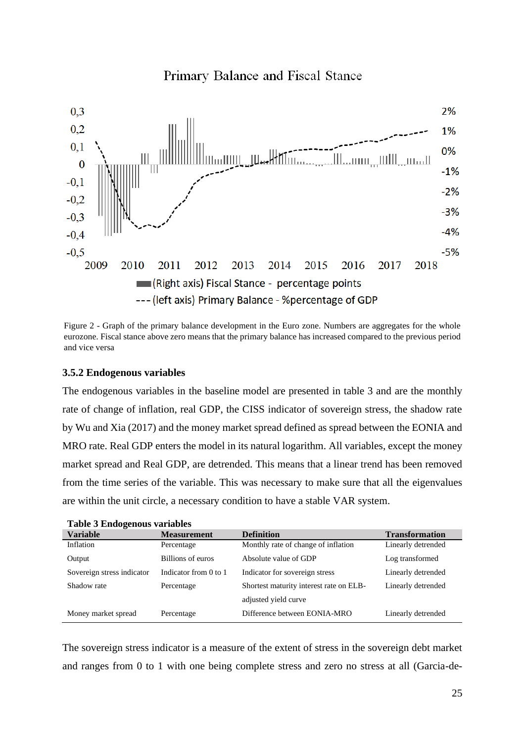

Primary Balance and Fiscal Stance

Figure 2 - Graph of the primary balance development in the Euro zone. Numbers are aggregates for the whole eurozone. Fiscal stance above zero means that the primary balance has increased compared to the previous period and vice versa

# <span id="page-24-0"></span>**3.5.2 Endogenous variables**

The endogenous variables in the baseline model are presented in table 3 and are the monthly rate of change of inflation, real GDP, the CISS indicator of sovereign stress, the shadow rate by Wu and Xia (2017) and the money market spread defined as spread between the EONIA and MRO rate. Real GDP enters the model in its natural logarithm. All variables, except the money market spread and Real GDP, are detrended. This means that a linear trend has been removed from the time series of the variable. This was necessary to make sure that all the eigenvalues are within the unit circle, a necessary condition to have a stable VAR system.

| Table 5 Endogenous valiables |                       |                                         |                       |  |  |
|------------------------------|-----------------------|-----------------------------------------|-----------------------|--|--|
| <b>Variable</b>              | <b>Measurement</b>    | <b>Definition</b>                       | <b>Transformation</b> |  |  |
| Inflation                    | Percentage            | Monthly rate of change of inflation     | Linearly detrended    |  |  |
| Output                       | Billions of euros     | Absolute value of GDP                   | Log transformed       |  |  |
| Sovereign stress indicator   | Indicator from 0 to 1 | Indicator for sovereign stress          | Linearly detrended    |  |  |
| Shadow rate                  | Percentage            | Shortest maturity interest rate on ELB- | Linearly detrended    |  |  |
|                              |                       | adjusted yield curve                    |                       |  |  |
| Money market spread          | Percentage            | Difference between EONIA-MRO            | Linearly detrended    |  |  |
|                              |                       |                                         |                       |  |  |

**Table 3 Endogenous variables**

The sovereign stress indicator is a measure of the extent of stress in the sovereign debt market and ranges from 0 to 1 with one being complete stress and zero no stress at all (Garcia-de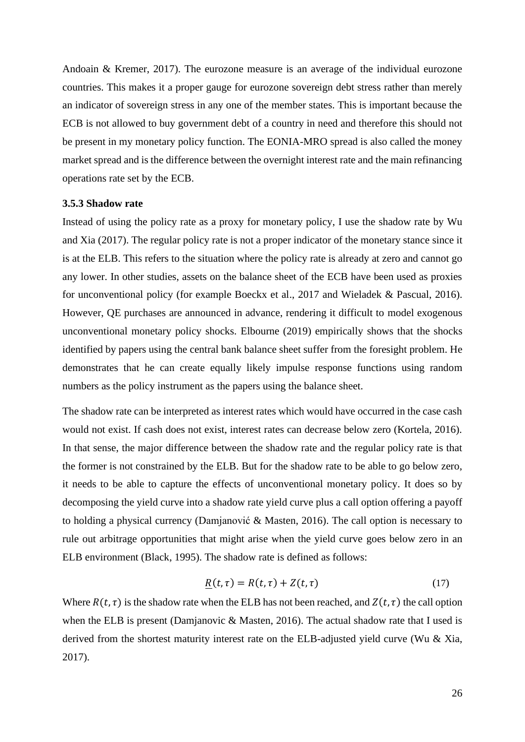Andoain & Kremer, 2017). The eurozone measure is an average of the individual eurozone countries. This makes it a proper gauge for eurozone sovereign debt stress rather than merely an indicator of sovereign stress in any one of the member states. This is important because the ECB is not allowed to buy government debt of a country in need and therefore this should not be present in my monetary policy function. The EONIA-MRO spread is also called the money market spread and is the difference between the overnight interest rate and the main refinancing operations rate set by the ECB.

#### <span id="page-25-0"></span>**3.5.3 Shadow rate**

Instead of using the policy rate as a proxy for monetary policy, I use the shadow rate by Wu and Xia (2017). The regular policy rate is not a proper indicator of the monetary stance since it is at the ELB. This refers to the situation where the policy rate is already at zero and cannot go any lower. In other studies, assets on the balance sheet of the ECB have been used as proxies for unconventional policy (for example Boeckx et al., 2017 and Wieladek & Pascual, 2016). However, QE purchases are announced in advance, rendering it difficult to model exogenous unconventional monetary policy shocks. Elbourne (2019) empirically shows that the shocks identified by papers using the central bank balance sheet suffer from the foresight problem. He demonstrates that he can create equally likely impulse response functions using random numbers as the policy instrument as the papers using the balance sheet.

The shadow rate can be interpreted as interest rates which would have occurred in the case cash would not exist. If cash does not exist, interest rates can decrease below zero (Kortela, 2016). In that sense, the major difference between the shadow rate and the regular policy rate is that the former is not constrained by the ELB. But for the shadow rate to be able to go below zero, it needs to be able to capture the effects of unconventional monetary policy. It does so by decomposing the yield curve into a shadow rate yield curve plus a call option offering a payoff to holding a physical currency (Damjanović & Masten, 2016). The call option is necessary to rule out arbitrage opportunities that might arise when the yield curve goes below zero in an ELB environment (Black, 1995). The shadow rate is defined as follows:

$$
\underline{R}(t,\tau) = R(t,\tau) + Z(t,\tau) \tag{17}
$$

Where  $R(t, \tau)$  is the shadow rate when the ELB has not been reached, and  $Z(t, \tau)$  the call option when the ELB is present (Damjanovic & Masten, 2016). The actual shadow rate that I used is derived from the shortest maturity interest rate on the ELB-adjusted yield curve (Wu & Xia, 2017).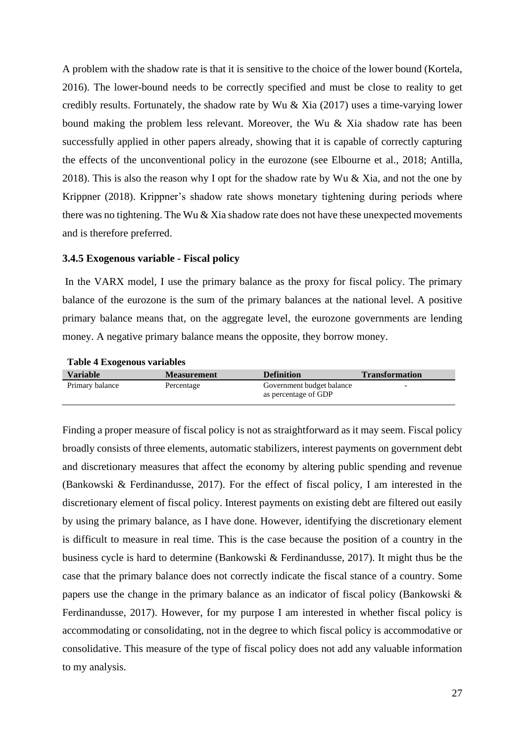A problem with the shadow rate is that it is sensitive to the choice of the lower bound (Kortela, 2016). The lower-bound needs to be correctly specified and must be close to reality to get credibly results. Fortunately, the shadow rate by Wu & Xia (2017) uses a time-varying lower bound making the problem less relevant. Moreover, the Wu & Xia shadow rate has been successfully applied in other papers already, showing that it is capable of correctly capturing the effects of the unconventional policy in the eurozone (see Elbourne et al., 2018; Antilla, 2018). This is also the reason why I opt for the shadow rate by Wu  $\&$  Xia, and not the one by Krippner (2018). Krippner's shadow rate shows monetary tightening during periods where there was no tightening. The Wu  $\&$  Xia shadow rate does not have these unexpected movements and is therefore preferred.

#### <span id="page-26-0"></span>**3.4.5 Exogenous variable - Fiscal policy**

In the VARX model, I use the primary balance as the proxy for fiscal policy. The primary balance of the eurozone is the sum of the primary balances at the national level. A positive primary balance means that, on the aggregate level, the eurozone governments are lending money. A negative primary balance means the opposite, they borrow money.

| <b>Variable</b> | <b>Measurement</b> | <b>Definition</b>                                 | <b>Transformation</b> |
|-----------------|--------------------|---------------------------------------------------|-----------------------|
| Primary balance | Percentage         | Government budget balance<br>as percentage of GDP |                       |

#### **Table 4 Exogenous variables**

Finding a proper measure of fiscal policy is not as straightforward as it may seem. Fiscal policy broadly consists of three elements, automatic stabilizers, interest payments on government debt and discretionary measures that affect the economy by altering public spending and revenue (Bankowski & Ferdinandusse, 2017). For the effect of fiscal policy, I am interested in the discretionary element of fiscal policy. Interest payments on existing debt are filtered out easily by using the primary balance, as I have done. However, identifying the discretionary element is difficult to measure in real time. This is the case because the position of a country in the business cycle is hard to determine (Bankowski & Ferdinandusse, 2017). It might thus be the case that the primary balance does not correctly indicate the fiscal stance of a country. Some papers use the change in the primary balance as an indicator of fiscal policy (Bankowski & Ferdinandusse, 2017). However, for my purpose I am interested in whether fiscal policy is accommodating or consolidating, not in the degree to which fiscal policy is accommodative or consolidative. This measure of the type of fiscal policy does not add any valuable information to my analysis.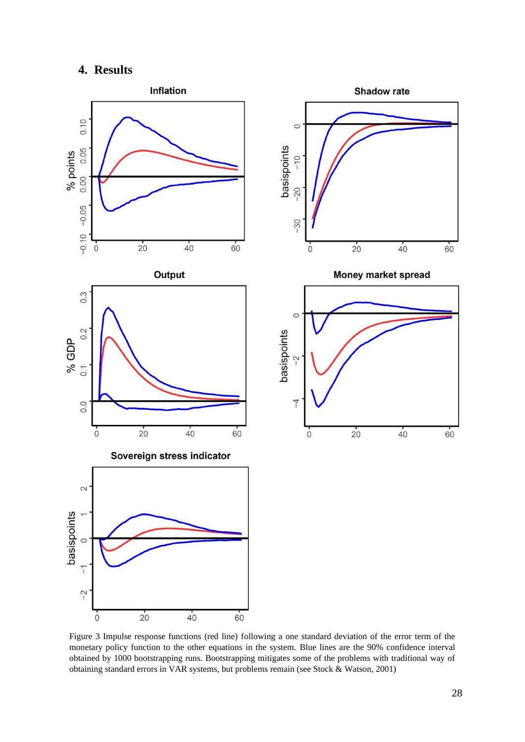# **4. Results**

<span id="page-27-0"></span>

Figure 3 Impulse response functions (red line) following a one standard deviation of the error term of the monetary policy function to the other equations in the system. Blue lines are the 90% confidence interval obtained by 1000 bootstrapping runs. Bootstrapping mitigates some of the problems with traditional way of obtaining standard errors in VAR systems, but problems remain (see Stock & Watson, 2001)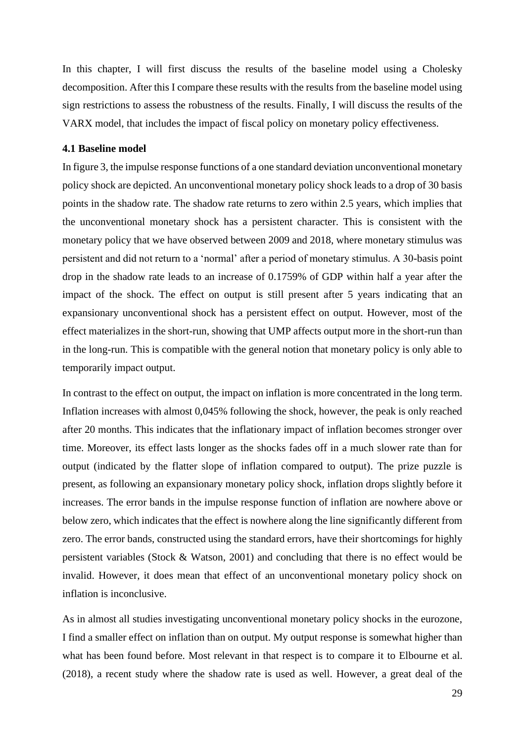In this chapter, I will first discuss the results of the baseline model using a Cholesky decomposition. After this I compare these results with the results from the baseline model using sign restrictions to assess the robustness of the results. Finally, I will discuss the results of the VARX model, that includes the impact of fiscal policy on monetary policy effectiveness.

# <span id="page-28-0"></span>**4.1 Baseline model**

In figure 3, the impulse response functions of a one standard deviation unconventional monetary policy shock are depicted. An unconventional monetary policy shock leads to a drop of 30 basis points in the shadow rate. The shadow rate returns to zero within 2.5 years, which implies that the unconventional monetary shock has a persistent character. This is consistent with the monetary policy that we have observed between 2009 and 2018, where monetary stimulus was persistent and did not return to a 'normal' after a period of monetary stimulus. A 30-basis point drop in the shadow rate leads to an increase of 0.1759% of GDP within half a year after the impact of the shock. The effect on output is still present after 5 years indicating that an expansionary unconventional shock has a persistent effect on output. However, most of the effect materializes in the short-run, showing that UMP affects output more in the short-run than in the long-run. This is compatible with the general notion that monetary policy is only able to temporarily impact output.

In contrast to the effect on output, the impact on inflation is more concentrated in the long term. Inflation increases with almost 0,045% following the shock, however, the peak is only reached after 20 months. This indicates that the inflationary impact of inflation becomes stronger over time. Moreover, its effect lasts longer as the shocks fades off in a much slower rate than for output (indicated by the flatter slope of inflation compared to output). The prize puzzle is present, as following an expansionary monetary policy shock, inflation drops slightly before it increases. The error bands in the impulse response function of inflation are nowhere above or below zero, which indicates that the effect is nowhere along the line significantly different from zero. The error bands, constructed using the standard errors, have their shortcomings for highly persistent variables (Stock & Watson, 2001) and concluding that there is no effect would be invalid. However, it does mean that effect of an unconventional monetary policy shock on inflation is inconclusive.

As in almost all studies investigating unconventional monetary policy shocks in the eurozone, I find a smaller effect on inflation than on output. My output response is somewhat higher than what has been found before. Most relevant in that respect is to compare it to Elbourne et al. (2018), a recent study where the shadow rate is used as well. However, a great deal of the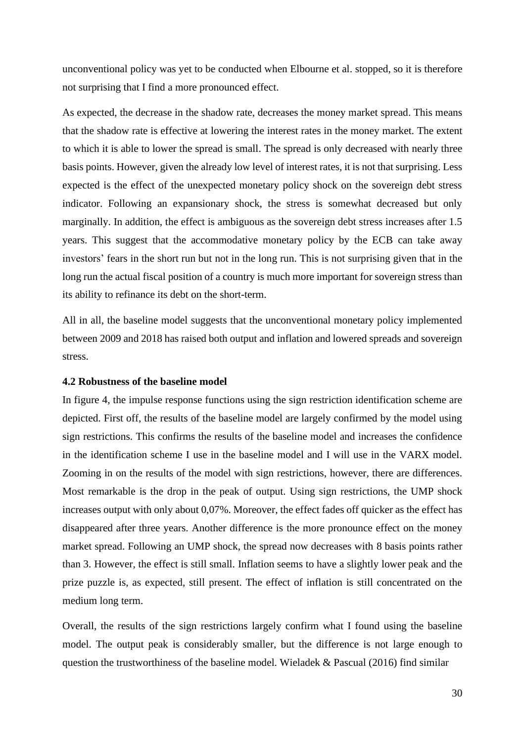unconventional policy was yet to be conducted when Elbourne et al. stopped, so it is therefore not surprising that I find a more pronounced effect.

As expected, the decrease in the shadow rate, decreases the money market spread. This means that the shadow rate is effective at lowering the interest rates in the money market. The extent to which it is able to lower the spread is small. The spread is only decreased with nearly three basis points. However, given the already low level of interest rates, it is not that surprising. Less expected is the effect of the unexpected monetary policy shock on the sovereign debt stress indicator. Following an expansionary shock, the stress is somewhat decreased but only marginally. In addition, the effect is ambiguous as the sovereign debt stress increases after 1.5 years. This suggest that the accommodative monetary policy by the ECB can take away investors' fears in the short run but not in the long run. This is not surprising given that in the long run the actual fiscal position of a country is much more important for sovereign stress than its ability to refinance its debt on the short-term.

All in all, the baseline model suggests that the unconventional monetary policy implemented between 2009 and 2018 has raised both output and inflation and lowered spreads and sovereign stress.

# <span id="page-29-0"></span>**4.2 Robustness of the baseline model**

In figure 4, the impulse response functions using the sign restriction identification scheme are depicted. First off, the results of the baseline model are largely confirmed by the model using sign restrictions. This confirms the results of the baseline model and increases the confidence in the identification scheme I use in the baseline model and I will use in the VARX model. Zooming in on the results of the model with sign restrictions, however, there are differences. Most remarkable is the drop in the peak of output. Using sign restrictions, the UMP shock increases output with only about 0,07%. Moreover, the effect fades off quicker as the effect has disappeared after three years. Another difference is the more pronounce effect on the money market spread. Following an UMP shock, the spread now decreases with 8 basis points rather than 3. However, the effect is still small. Inflation seems to have a slightly lower peak and the prize puzzle is, as expected, still present. The effect of inflation is still concentrated on the medium long term.

Overall, the results of the sign restrictions largely confirm what I found using the baseline model. The output peak is considerably smaller, but the difference is not large enough to question the trustworthiness of the baseline model. Wieladek & Pascual (2016) find similar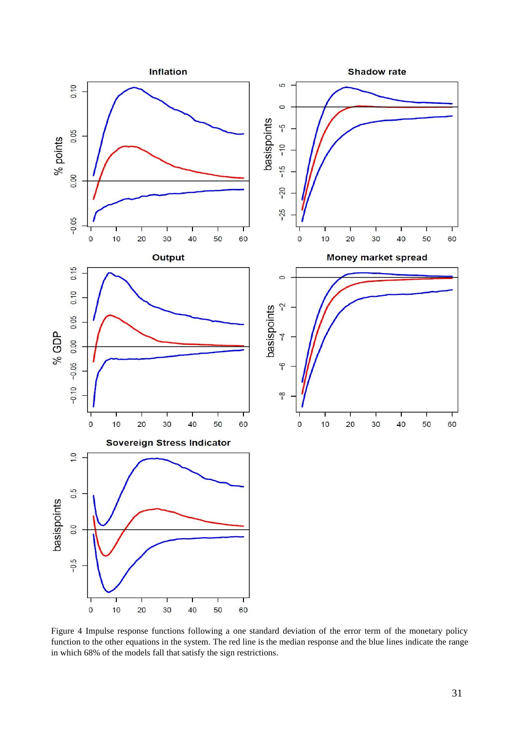![](_page_30_Figure_0.jpeg)

Figure 4 Impulse response functions following a one standard deviation of the error term of the monetary policy function to the other equations in the system. The red line is the median response and the blue lines indicate the range in which 68% of the models fall that satisfy the sign restrictions.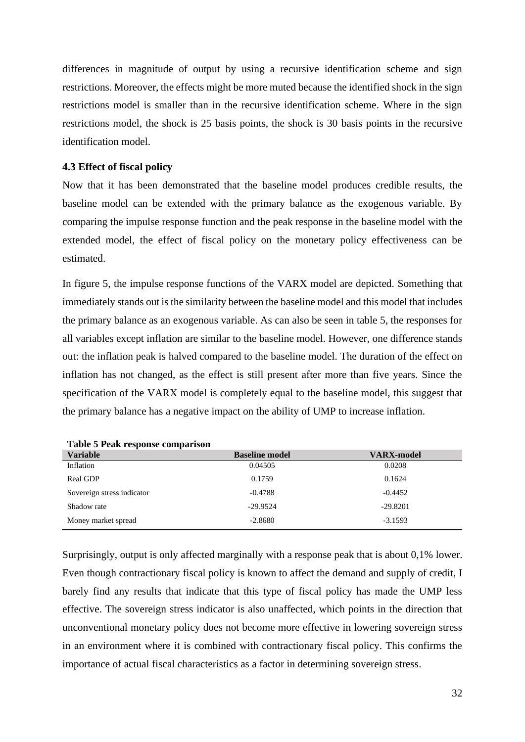differences in magnitude of output by using a recursive identification scheme and sign restrictions. Moreover, the effects might be more muted because the identified shock in the sign restrictions model is smaller than in the recursive identification scheme. Where in the sign restrictions model, the shock is 25 basis points, the shock is 30 basis points in the recursive identification model.

#### <span id="page-31-0"></span>**4.3 Effect of fiscal policy**

Now that it has been demonstrated that the baseline model produces credible results, the baseline model can be extended with the primary balance as the exogenous variable. By comparing the impulse response function and the peak response in the baseline model with the extended model, the effect of fiscal policy on the monetary policy effectiveness can be estimated.

In figure 5, the impulse response functions of the VARX model are depicted. Something that immediately stands out is the similarity between the baseline model and this model that includes the primary balance as an exogenous variable. As can also be seen in table 5, the responses for all variables except inflation are similar to the baseline model. However, one difference stands out: the inflation peak is halved compared to the baseline model. The duration of the effect on inflation has not changed, as the effect is still present after more than five years. Since the specification of the VARX model is completely equal to the baseline model, this suggest that the primary balance has a negative impact on the ability of UMP to increase inflation.

| <b>Variable</b>            | <b>Baseline model</b> | <b>VARX-model</b> |
|----------------------------|-----------------------|-------------------|
| Inflation                  | 0.04505               | 0.0208            |
| Real GDP                   | 0.1759                | 0.1624            |
| Sovereign stress indicator | $-0.4788$             | $-0.4452$         |
| Shadow rate                | $-29.9524$            | $-29.8201$        |
| Money market spread        | $-2.8680$             | $-3.1593$         |

**Table 5 Peak response comparison**

Surprisingly, output is only affected marginally with a response peak that is about 0,1% lower. Even though contractionary fiscal policy is known to affect the demand and supply of credit, I barely find any results that indicate that this type of fiscal policy has made the UMP less effective. The sovereign stress indicator is also unaffected, which points in the direction that unconventional monetary policy does not become more effective in lowering sovereign stress in an environment where it is combined with contractionary fiscal policy. This confirms the importance of actual fiscal characteristics as a factor in determining sovereign stress.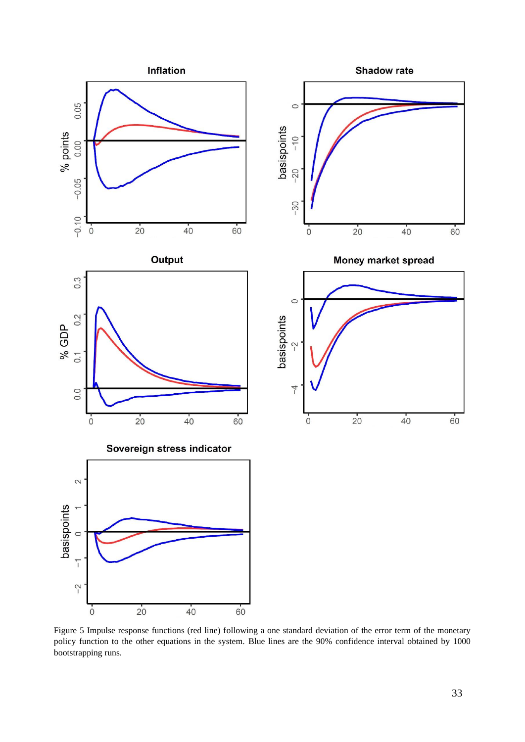![](_page_32_Figure_0.jpeg)

Figure 5 Impulse response functions (red line) following a one standard deviation of the error term of the monetary policy function to the other equations in the system. Blue lines are the 90% confidence interval obtained by 1000 bootstrapping runs.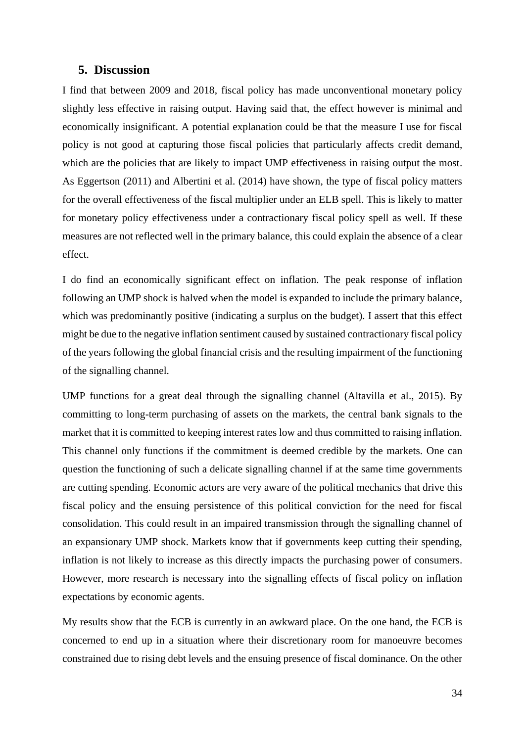# <span id="page-33-0"></span>**5. Discussion**

I find that between 2009 and 2018, fiscal policy has made unconventional monetary policy slightly less effective in raising output. Having said that, the effect however is minimal and economically insignificant. A potential explanation could be that the measure I use for fiscal policy is not good at capturing those fiscal policies that particularly affects credit demand, which are the policies that are likely to impact UMP effectiveness in raising output the most. As Eggertson (2011) and Albertini et al. (2014) have shown, the type of fiscal policy matters for the overall effectiveness of the fiscal multiplier under an ELB spell. This is likely to matter for monetary policy effectiveness under a contractionary fiscal policy spell as well. If these measures are not reflected well in the primary balance, this could explain the absence of a clear effect.

I do find an economically significant effect on inflation. The peak response of inflation following an UMP shock is halved when the model is expanded to include the primary balance, which was predominantly positive (indicating a surplus on the budget). I assert that this effect might be due to the negative inflation sentiment caused by sustained contractionary fiscal policy of the years following the global financial crisis and the resulting impairment of the functioning of the signalling channel.

UMP functions for a great deal through the signalling channel (Altavilla et al., 2015). By committing to long-term purchasing of assets on the markets, the central bank signals to the market that it is committed to keeping interest rates low and thus committed to raising inflation. This channel only functions if the commitment is deemed credible by the markets. One can question the functioning of such a delicate signalling channel if at the same time governments are cutting spending. Economic actors are very aware of the political mechanics that drive this fiscal policy and the ensuing persistence of this political conviction for the need for fiscal consolidation. This could result in an impaired transmission through the signalling channel of an expansionary UMP shock. Markets know that if governments keep cutting their spending, inflation is not likely to increase as this directly impacts the purchasing power of consumers. However, more research is necessary into the signalling effects of fiscal policy on inflation expectations by economic agents.

My results show that the ECB is currently in an awkward place. On the one hand, the ECB is concerned to end up in a situation where their discretionary room for manoeuvre becomes constrained due to rising debt levels and the ensuing presence of fiscal dominance. On the other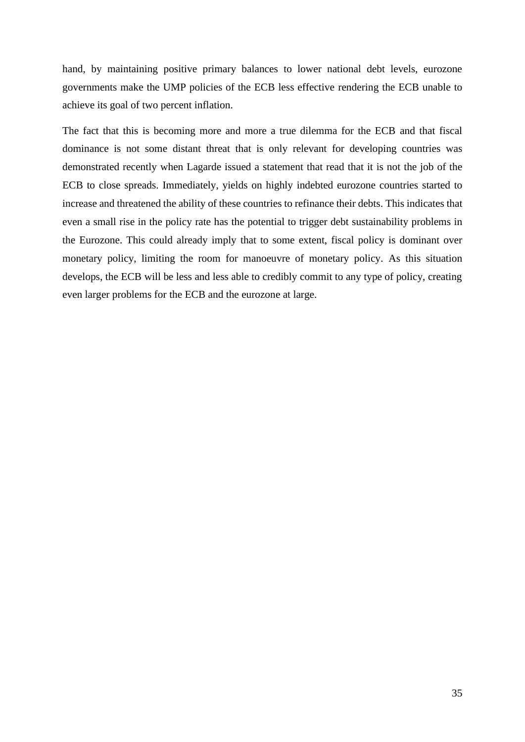hand, by maintaining positive primary balances to lower national debt levels, eurozone governments make the UMP policies of the ECB less effective rendering the ECB unable to achieve its goal of two percent inflation.

The fact that this is becoming more and more a true dilemma for the ECB and that fiscal dominance is not some distant threat that is only relevant for developing countries was demonstrated recently when Lagarde issued a statement that read that it is not the job of the ECB to close spreads. Immediately, yields on highly indebted eurozone countries started to increase and threatened the ability of these countries to refinance their debts. This indicates that even a small rise in the policy rate has the potential to trigger debt sustainability problems in the Eurozone. This could already imply that to some extent, fiscal policy is dominant over monetary policy, limiting the room for manoeuvre of monetary policy. As this situation develops, the ECB will be less and less able to credibly commit to any type of policy, creating even larger problems for the ECB and the eurozone at large.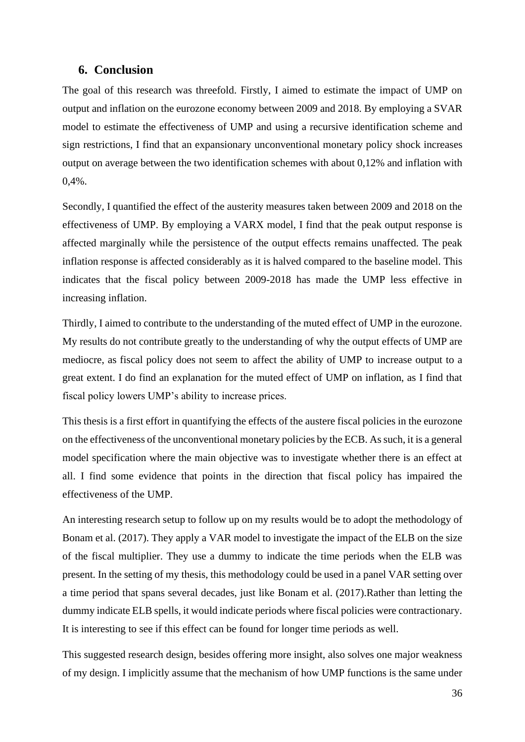# <span id="page-35-0"></span>**6. Conclusion**

The goal of this research was threefold. Firstly, I aimed to estimate the impact of UMP on output and inflation on the eurozone economy between 2009 and 2018. By employing a SVAR model to estimate the effectiveness of UMP and using a recursive identification scheme and sign restrictions, I find that an expansionary unconventional monetary policy shock increases output on average between the two identification schemes with about 0,12% and inflation with 0,4%.

Secondly, I quantified the effect of the austerity measures taken between 2009 and 2018 on the effectiveness of UMP. By employing a VARX model, I find that the peak output response is affected marginally while the persistence of the output effects remains unaffected. The peak inflation response is affected considerably as it is halved compared to the baseline model. This indicates that the fiscal policy between 2009-2018 has made the UMP less effective in increasing inflation.

Thirdly, I aimed to contribute to the understanding of the muted effect of UMP in the eurozone. My results do not contribute greatly to the understanding of why the output effects of UMP are mediocre, as fiscal policy does not seem to affect the ability of UMP to increase output to a great extent. I do find an explanation for the muted effect of UMP on inflation, as I find that fiscal policy lowers UMP's ability to increase prices.

This thesis is a first effort in quantifying the effects of the austere fiscal policies in the eurozone on the effectiveness of the unconventional monetary policies by the ECB. As such, it is a general model specification where the main objective was to investigate whether there is an effect at all. I find some evidence that points in the direction that fiscal policy has impaired the effectiveness of the UMP.

An interesting research setup to follow up on my results would be to adopt the methodology of Bonam et al. (2017). They apply a VAR model to investigate the impact of the ELB on the size of the fiscal multiplier. They use a dummy to indicate the time periods when the ELB was present. In the setting of my thesis, this methodology could be used in a panel VAR setting over a time period that spans several decades, just like Bonam et al. (2017).Rather than letting the dummy indicate ELB spells, it would indicate periods where fiscal policies were contractionary. It is interesting to see if this effect can be found for longer time periods as well.

This suggested research design, besides offering more insight, also solves one major weakness of my design. I implicitly assume that the mechanism of how UMP functions is the same under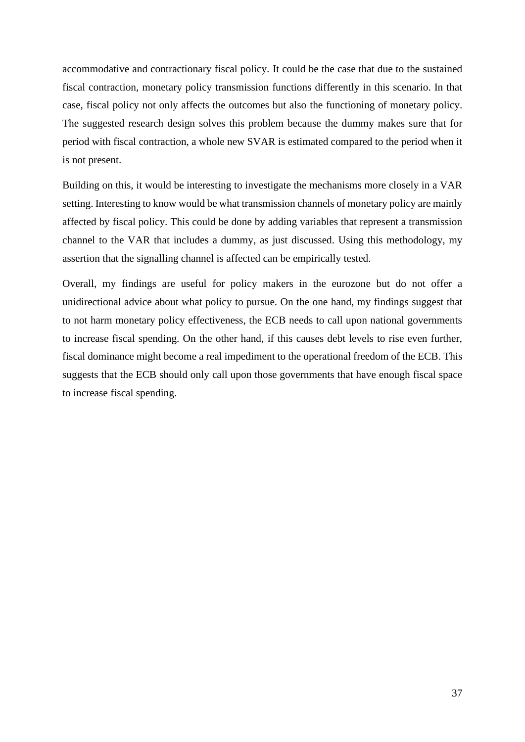accommodative and contractionary fiscal policy. It could be the case that due to the sustained fiscal contraction, monetary policy transmission functions differently in this scenario. In that case, fiscal policy not only affects the outcomes but also the functioning of monetary policy. The suggested research design solves this problem because the dummy makes sure that for period with fiscal contraction, a whole new SVAR is estimated compared to the period when it is not present.

Building on this, it would be interesting to investigate the mechanisms more closely in a VAR setting. Interesting to know would be what transmission channels of monetary policy are mainly affected by fiscal policy. This could be done by adding variables that represent a transmission channel to the VAR that includes a dummy, as just discussed. Using this methodology, my assertion that the signalling channel is affected can be empirically tested.

Overall, my findings are useful for policy makers in the eurozone but do not offer a unidirectional advice about what policy to pursue. On the one hand, my findings suggest that to not harm monetary policy effectiveness, the ECB needs to call upon national governments to increase fiscal spending. On the other hand, if this causes debt levels to rise even further, fiscal dominance might become a real impediment to the operational freedom of the ECB. This suggests that the ECB should only call upon those governments that have enough fiscal space to increase fiscal spending.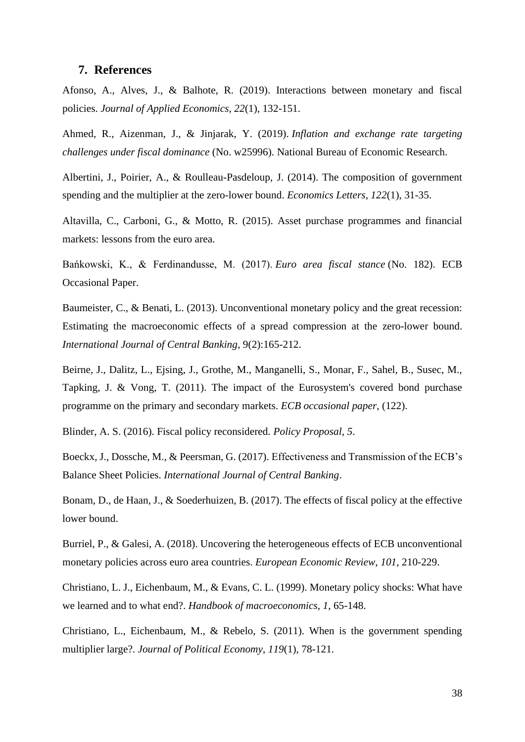### <span id="page-37-0"></span>**7. References**

Afonso, A., Alves, J., & Balhote, R. (2019). Interactions between monetary and fiscal policies. *Journal of Applied Economics*, *22*(1), 132-151.

Ahmed, R., Aizenman, J., & Jinjarak, Y. (2019). *Inflation and exchange rate targeting challenges under fiscal dominance* (No. w25996). National Bureau of Economic Research.

Albertini, J., Poirier, A., & Roulleau-Pasdeloup, J. (2014). The composition of government spending and the multiplier at the zero-lower bound. *Economics Letters*, *122*(1), 31-35.

Altavilla, C., Carboni, G., & Motto, R. (2015). Asset purchase programmes and financial markets: lessons from the euro area.

Bańkowski, K., & Ferdinandusse, M. (2017). *Euro area fiscal stance* (No. 182). ECB Occasional Paper.

Baumeister, C., & Benati, L. (2013). Unconventional monetary policy and the great recession: Estimating the macroeconomic effects of a spread compression at the zero-lower bound. *International Journal of Central Banking*, 9(2):165-212.

Beirne, J., Dalitz, L., Ejsing, J., Grothe, M., Manganelli, S., Monar, F., Sahel, B., Susec, M., Tapking, J. & Vong, T. (2011). The impact of the Eurosystem's covered bond purchase programme on the primary and secondary markets. *ECB occasional paper*, (122).

Blinder, A. S. (2016). Fiscal policy reconsidered. *Policy Proposal*, *5*.

Boeckx, J., Dossche, M., & Peersman, G. (2017). Effectiveness and Transmission of the ECB's Balance Sheet Policies. *International Journal of Central Banking*.

Bonam, D., de Haan, J., & Soederhuizen, B. (2017). The effects of fiscal policy at the effective lower bound.

Burriel, P., & Galesi, A. (2018). Uncovering the heterogeneous effects of ECB unconventional monetary policies across euro area countries. *European Economic Review*, *101*, 210-229.

Christiano, L. J., Eichenbaum, M., & Evans, C. L. (1999). Monetary policy shocks: What have we learned and to what end?. *Handbook of macroeconomics*, *1*, 65-148.

Christiano, L., Eichenbaum, M., & Rebelo, S. (2011). When is the government spending multiplier large?. *Journal of Political Economy*, *119*(1), 78-121.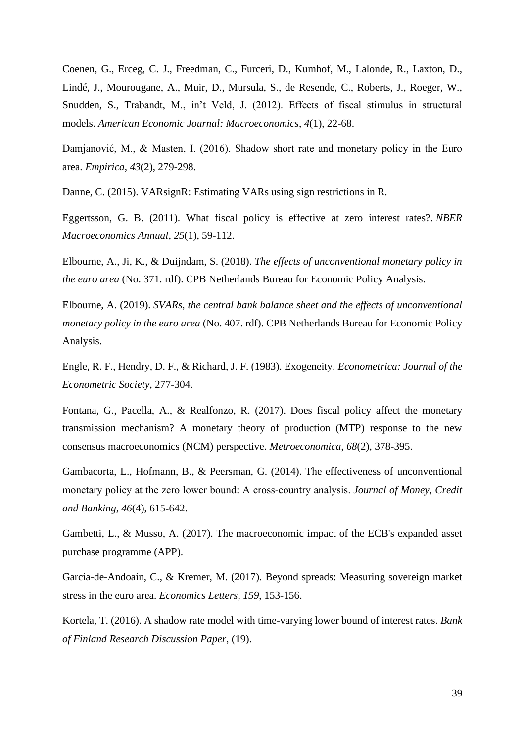Coenen, G., Erceg, C. J., Freedman, C., Furceri, D., Kumhof, M., Lalonde, R., Laxton, D., Lindé, J., Mourougane, A., Muir, D., Mursula, S., de Resende, C., Roberts, J., Roeger, W., Snudden, S., Trabandt, M., in't Veld, J. (2012). Effects of fiscal stimulus in structural models. *American Economic Journal: Macroeconomics*, *4*(1), 22-68.

Damjanović, M., & Masten, I. (2016). Shadow short rate and monetary policy in the Euro area. *Empirica*, *43*(2), 279-298.

Danne, C. (2015). VARsignR: Estimating VARs using sign restrictions in R.

Eggertsson, G. B. (2011). What fiscal policy is effective at zero interest rates?. *NBER Macroeconomics Annual*, *25*(1), 59-112.

Elbourne, A., Ji, K., & Duijndam, S. (2018). *The effects of unconventional monetary policy in the euro area* (No. 371. rdf). CPB Netherlands Bureau for Economic Policy Analysis.

Elbourne, A. (2019). *SVARs, the central bank balance sheet and the effects of unconventional monetary policy in the euro area* (No. 407. rdf). CPB Netherlands Bureau for Economic Policy Analysis.

Engle, R. F., Hendry, D. F., & Richard, J. F. (1983). Exogeneity. *Econometrica: Journal of the Econometric Society*, 277-304.

Fontana, G., Pacella, A., & Realfonzo, R. (2017). Does fiscal policy affect the monetary transmission mechanism? A monetary theory of production (MTP) response to the new consensus macroeconomics (NCM) perspective. *Metroeconomica*, *68*(2), 378-395.

Gambacorta, L., Hofmann, B., & Peersman, G. (2014). The effectiveness of unconventional monetary policy at the zero lower bound: A cross‐country analysis. *Journal of Money, Credit and Banking*, *46*(4), 615-642.

Gambetti, L., & Musso, A. (2017). The macroeconomic impact of the ECB's expanded asset purchase programme (APP).

Garcia-de-Andoain, C., & Kremer, M. (2017). Beyond spreads: Measuring sovereign market stress in the euro area. *Economics Letters*, *159*, 153-156.

Kortela, T. (2016). A shadow rate model with time-varying lower bound of interest rates. *Bank of Finland Research Discussion Paper*, (19).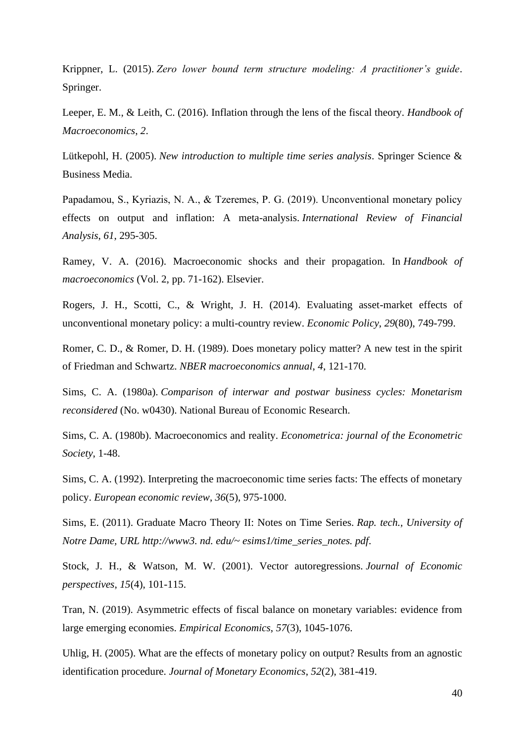Krippner, L. (2015). *Zero lower bound term structure modeling: A practitioner's guide*. Springer.

Leeper, E. M., & Leith, C. (2016). Inflation through the lens of the fiscal theory. *Handbook of Macroeconomics*, *2*.

Lütkepohl, H. (2005). *New introduction to multiple time series analysis*. Springer Science & Business Media.

Papadamou, S., Kyriazis, Ν. A., & Tzeremes, P. G. (2019). Unconventional monetary policy effects on output and inflation: A meta-analysis. *International Review of Financial Analysis*, *61*, 295-305.

Ramey, V. A. (2016). Macroeconomic shocks and their propagation. In *Handbook of macroeconomics* (Vol. 2, pp. 71-162). Elsevier.

Rogers, J. H., Scotti, C., & Wright, J. H. (2014). Evaluating asset-market effects of unconventional monetary policy: a multi-country review. *Economic Policy*, *29*(80), 749-799.

Romer, C. D., & Romer, D. H. (1989). Does monetary policy matter? A new test in the spirit of Friedman and Schwartz. *NBER macroeconomics annual*, *4*, 121-170.

Sims, C. A. (1980a). *Comparison of interwar and postwar business cycles: Monetarism reconsidered* (No. w0430). National Bureau of Economic Research.

Sims, C. A. (1980b). Macroeconomics and reality. *Econometrica: journal of the Econometric Society*, 1-48.

Sims, C. A. (1992). Interpreting the macroeconomic time series facts: The effects of monetary policy. *European economic review*, *36*(5), 975-1000.

Sims, E. (2011). Graduate Macro Theory II: Notes on Time Series. *Rap. tech., University of Notre Dame, URL http://www3. nd. edu/~ esims1/time\_series\_notes. pdf*.

Stock, J. H., & Watson, M. W. (2001). Vector autoregressions. *Journal of Economic perspectives*, *15*(4), 101-115.

Tran, N. (2019). Asymmetric effects of fiscal balance on monetary variables: evidence from large emerging economies. *Empirical Economics*, *57*(3), 1045-1076.

Uhlig, H. (2005). What are the effects of monetary policy on output? Results from an agnostic identification procedure. *Journal of Monetary Economics*, *52*(2), 381-419.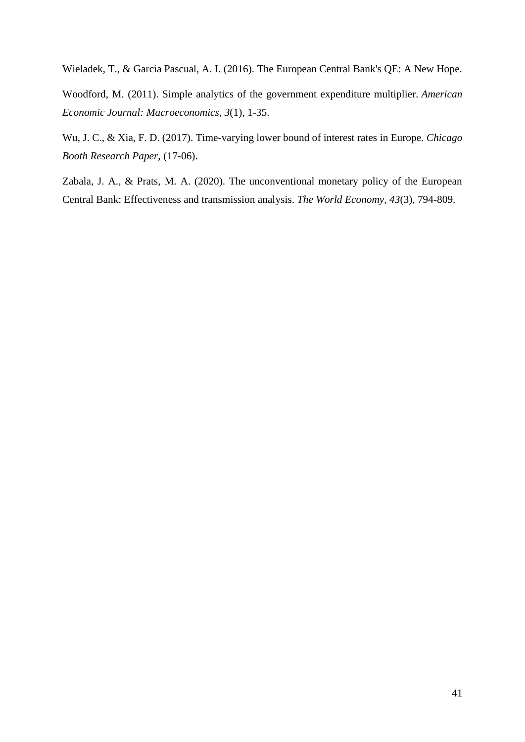Wieladek, T., & Garcia Pascual, A. I. (2016). The European Central Bank's QE: A New Hope.

Woodford, M. (2011). Simple analytics of the government expenditure multiplier. *American Economic Journal: Macroeconomics*, *3*(1), 1-35.

Wu, J. C., & Xia, F. D. (2017). Time-varying lower bound of interest rates in Europe. *Chicago Booth Research Paper*, (17-06).

Zabala, J. A., & Prats, M. A. (2020). The unconventional monetary policy of the European Central Bank: Effectiveness and transmission analysis. *The World Economy*, *43*(3), 794-809.